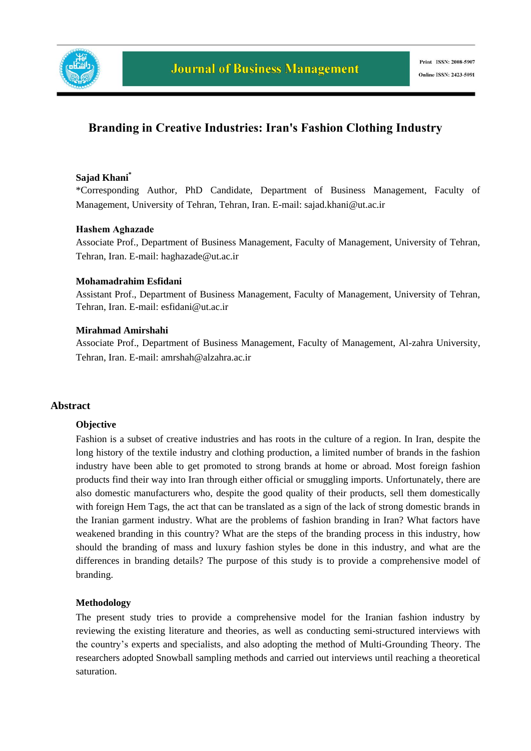

# **Branding in Creative Industries: Iran's Fashion Clothing Industry**

## **Sajad Khani\***

\*Corresponding Author*,* PhD Candidate, Department of Business Management, Faculty of Management, University of Tehran, Tehran, Iran. E-mail: sajad.khani@ut.ac.ir

#### **Hashem Aghazade**

Associate Prof., Department of Business Management, Faculty of Management, University of Tehran, Tehran, Iran. E-mail: haghazade@ut.ac.ir

#### **Mohamadrahim Esfidani**

Assistant Prof., Department of Business Management, Faculty of Management, University of Tehran, Tehran, Iran. E-mail: esfidani@ut.ac.ir

#### **Mirahmad Amirshahi**

Associate Prof., Department of Business Management, Faculty of Management, Al-zahra University, Tehran, Iran. E-mail: amrshah@alzahra.ac.ir

#### **Abstract**

#### **Objective**

Fashion is a subset of creative industries and has roots in the culture of a region. In Iran, despite the long history of the textile industry and clothing production, a limited number of brands in the fashion industry have been able to get promoted to strong brands at home or abroad. Most foreign fashion products find their way into Iran through either official or smuggling imports. Unfortunately, there are also domestic manufacturers who, despite the good quality of their products, sell them domestically with foreign Hem Tags, the act that can be translated as a sign of the lack of strong domestic brands in the Iranian garment industry. What are the problems of fashion branding in Iran? What factors have weakened branding in this country? What are the steps of the branding process in this industry, how should the branding of mass and luxury fashion styles be done in this industry, and what are the differences in branding details? The purpose of this study is to provide a comprehensive model of branding.

#### **Methodology**

The present study tries to provide a comprehensive model for the Iranian fashion industry by reviewing the existing literature and theories, as well as conducting semi-structured interviews with the country's experts and specialists, and also adopting the method of Multi-Grounding Theory. The researchers adopted Snowball sampling methods and carried out interviews until reaching a theoretical saturation.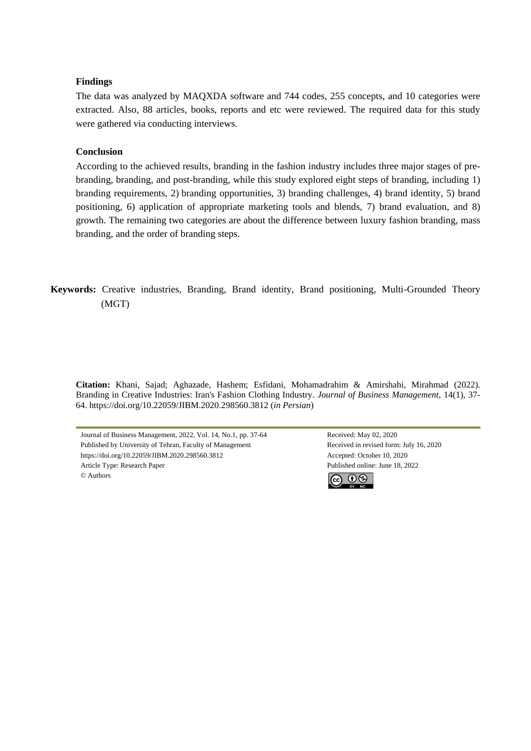#### **Findings**

The data was analyzed by MAQXDA software and 744 codes, 255 concepts, and 10 categories were extracted. Also, 88 articles, books, reports and etc were reviewed. The required data for this study were gathered via conducting interviews.

#### **Conclusion**

According to the achieved results, branding in the fashion industry includes three major stages of prebranding, branding, and post-branding, while this study explored eight steps of branding, including 1) branding requirements, 2) branding opportunities, 3) branding challenges, 4) brand identity, 5) brand positioning, 6) application of appropriate marketing tools and blends, 7) brand evaluation, and 8) growth. The remaining two categories are about the difference between luxury fashion branding, mass branding, and the order of branding steps.

**Keywords:** Creative industries, Branding, Brand identity, Brand positioning, Multi-Grounded Theory (MGT)

**Citation:** Khani, Sajad; Aghazade, Hashem; Esfidani, Mohamadrahim & Amirshahi, Mirahmad (2022). Branding in Creative Industries: Iran's Fashion Clothing Industry. *Journal of Business Management,* 14(1), 37- 64. https://doi.org/10.22059/JIBM.2020.298560.3812 (*in Persian*)

Journal of Business Management, 2022, Vol. 14, No.1, pp. 37-64 Received: May 02, 2020 Published by University of Tehran, Faculty of Management Received in revised form: July 16, 2020 https://doi.org/10.22059/JIBM.2020.298560.3812 Accepted: October 10, 2020 Article Type: Research Paper Published online: June 18, 2022 © Authors

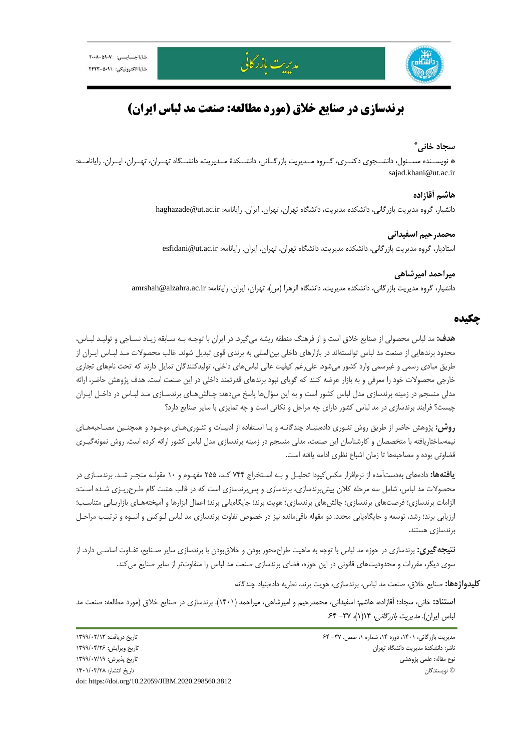



# **برندسازي در صنايع خلاق (مورد مطالعه: صنعت مد لباس ايران)**

مدريت بازركاني

#### **\* سجاد خاني**

\* نويســنده مســئول، دانشــجوي دكتــري، گــروه مــديريت بازرگــاني، دانشــكدة مــديريت، دانشــگاه تهــران، تهــران، ايــران. رايانامــه: sajad.khani@ut.ac.ir

> **هاشم آقازاده**  دانشيار، گروه مديريت بازرگاني، دانشكده مديريت، دانشگاه تهران، تهران، ايران. رايانامه: ir.ac.ut@haghazade

**محمدرحيم اسفيداني**  استاديار، گروه مديريت بازرگاني، دانشكده مديريت، دانشگاه تهران، تهران، ايران. رايانامه: esfidani@ut.ac.ir

## **ميراحمد اميرشاهي** دانشيار، گروه مديريت بازرگاني، دانشكده مديريت، دانشگاه الزهرا (س)، تهران، ايران. رايانامه: amrshah@alzahra.ac.ir

## **چكيده**

**هدف:** مد لباس محصولي از صنايع خلاق است و از فرهنگ منطقه ريشه ميگيرد. در ايران با توجـه بـه سـابقه زيـاد نسـاجي و توليـد لبـاس، محدود برندهايي از صنعت مد لباس توانستهاند در بازارهاي داخلي بينالمللي به برندي قوي تبديل شوند. غالب محصولات مـد لبـاس ايـران از طريق مبادي رسمي و غيرسمي وارد كشور ميشود. عليرغم كيفيت عالي لباسهاي داخلي، توليدكنندگان تمايل دارند كه تحت نامهاي تجاري خارجي محصولات خود را معرفي و به بازار عرضه كنند كه گوياي نبود برندهاي قدرتمند داخلي در اين صنعت است. هدف پژوهش حاضر، ارائه مدلي منسجم در زمينه برندسازي مدل لباس كشور است و به اين سؤالها پاسخ ميدهد: چـالشهـاي برندسـازي مـد لبـاس در داخـل ايـران چيست؟ فرايند برندسازي در مد لباس كشور داراي چه مراحل و نكاتي است و چه تمايزي با ساير صنايع دارد؟

**روش:** پژوهش حاضر از طريق روش تئـوري دادهبنيـاد چندگانـه و بـا اسـتفاده از ادبيـات و تئـوريهـاي موجـود و همچنـين مصـاحبههـاي نيمهساختاريافته با متخصصان و كارشناسان اين صنعت، مدلي منسجم در زمينه برندسازي مدل لباس كشور ارائه كرده است. روش نمونهگيـري قضاوتي بوده و مصاحبهها تا زمان اشباع نظري ادامه يافته است.

**يافتهها:** دادههاي بهدستآمده از نرمافزار مكسكيودا تحليـل و بـه اسـتخراج 744 كـد، 255 مفهـوم و 10 مقولـه منجـر شـد. برندسـازي در محصولات مد لباس، شامل سه مرحله كلان پيشبرندسازي، برندسازي و پسبرندسازي است كه در قالب هشت گام طـرحريـزي شـده اسـت: الزامات برندسازي؛ فرصتهاي برندسازي؛ چالشهاي برندسازي؛ هويت برند؛ جايگاهيابي برند؛ اعمال ابزارها و آميختههـاي بازاريـابي متناسـب؛ ارزيابي برند؛ رشد، توسعه و جايگاهيابي مجدد. دو مقوله باقيمانده نيز در خصوص تفاوت برندسازي مد لباس لـوكس و انبـوه و ترتيـب مراحـل برندسازي هستند.

**نتيجهگيري:** برندسازي در حوزه مد لباس با توجه به ماهيت طراحمحور بودن و خلاقبودن با برندسازي ساير صـنايع، تفـاوت اساسـي دارد. از سوي ديگر، مقررات <sup>و</sup> محدوديتهاي قانوني در اين حوزه، فضاي برندسازي صنعت مد لباس را متفاوتتر از ساير صنايع ميكند.

**كليدواژهها:** صنايع خلاق، صنعت مد لباس، برندسازي، هويت برند، نظريه دادهبنياد چندگانه

**استناد:** خاني، سجاد؛ آقازاده، هاشم؛ اسفيداني، محمدرحيم و اميرشاهي، ميراحمد (1401). برندسازي در صنايع خلاق (مورد مطالعه: صنعت مد لباس ايران). *مديريت بازرگاني،* ١/(١)، ٣٧- ۶۴.

مديريت بازرگاني، ۱۴۰۱، دوره ۱۴، شماره ۱، صص. ۳۷– ۶۴ تاريخ دريافت: ۱۳۹۹/۰۲/۱۲ تاريخ دريافت: ۱۳۹۹/۰۲/۱۳ ناشر: دانشكدة مديريت دانشگاه تهران تاريخ ويرايش: 1399/04/26 نوع مقاله: علمي پژوهشي تاريخ پذيرش: 1399/07/19 © نويسندگان تاريخ انتشار: 1401/03/28 doi: https://doi.org/10.22059/JIBM.2020.298560.3812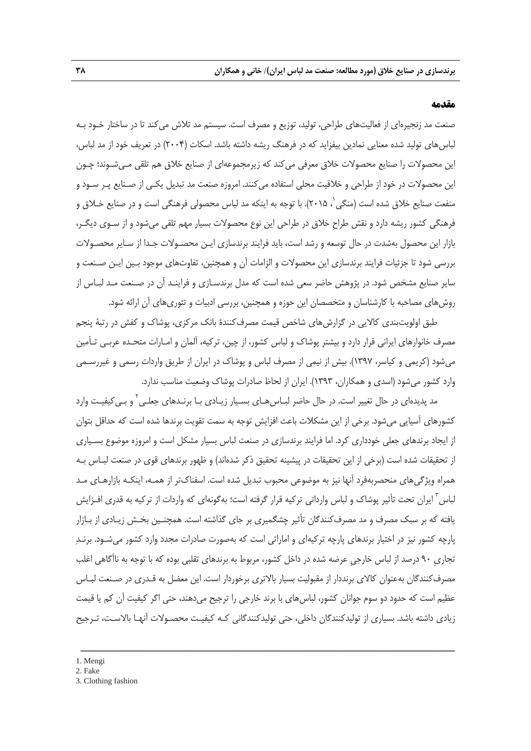#### **مقدمه**

صنعت مد زنجيرهاي از فعاليتهاي طراحي، توليد، توزيع و مصرف است. سيستم مد تلاش ميكند تا در ساختار خـود بـه لباسهاي توليد شده معنايي نمادين بيفزايد كه در فرهنگ ريشه داشته باشد. اسكات (2004) در تعريف خود از مد لباس، اين محصولات را صنايع محصولات خلاق معرفي مي كند كه زيرمجموعهاي از صنايع خلاق هم تلقي مـي شـوند؛ چـون اين محصولات در خود از طراحي و خلاقيت محلي استفاده ميكنند. امروزه صنعت مد تبديل يكـي از صـنايع پـر سـود و منفعت صنايع خلاق شده است (منگى<sup>'</sup>، ۲۰۱۵). با توجه به اينكه مد لباس محصولى فرهنگى است و در صنايع خـلاق و فرهنگي كشور ريشه دارد و نقش طراحِ خلاق در طراحي اين نوع محصولات بسيار مهم تلقي ميشود و از سـوي ديگـر، بازار اين محصول بهشدت در حال توسعه و رشد است، بايد فرايند برندسازي ايـن محصـولات جـدا از سـاير محصـولات بررسي شود تا جزئيات فرايند برندسازي اين محصولات و الزامات آن و همچنين، تفاوتهاي موجود بـين ايـن صـنعت و ساير صنايع مشخص شود. در پژوهش حاضر سعي شده است كه مدل برندسـازي و فراينـد آن در صـنعت مـد لبـاس از روشهاي مصاحبه با كارشناسان و متخصصان اين حوزه و همچنين، بررسي ادبيات و تئوريهاي آن ارائه شود.

طبق اولويتبندي كالايي در گزارشهاي شاخص قيمت مصرفكنندة بانك مركزي، پوشاك و كفش در رتبة پنجم مصرف خانوارهاي ايراني قرار دارد و بيشتر پوشاك و لباس كشور، از چين، تركيه، آلمان و امـارات متحـده عربـي تـأمين ميشود (كريمي و كياسر، 1397). بيش از نيمي از مصرف لباس و پوشاك در ايران از طريق واردات رسمي و غيررسـمي وارد كشور ميشود (اسدي و همكاران، 1393). ايران از لحاظ صادرات پوشاك وضعيت مناسب ندارد.

مد پديدهاى در حال تغيير است. در حال حاضر لبــاسαــاى بســيار زيــادى بــا برنــدهاى جعلــى<sup>٢</sup> و بــىكيفيـت وارد كشورهاي آسيايي ميشود. برخي از اين مشكلات باعث افزايش توجه به سمت تقويت برندها شده است كه حداقل بتوان از ايجاد برندهاي جعلي خودداري كرد. اما فرايند برندسازي در صنعت لباس بسيار مشكل است و امروزه موضوع بسـياري از تحقيقات شده است (برخي از اين تحقيقات در پيشينه تحقيق ذكر شدهاند) و ظهور برندهاي قوي در صنعت لبـاس بـه همراه ويژگيهاي منحصربهفرد آنها نيز به موضوعي محبوب تبديل شده است. اسفناكتر از همـه، اينكـه بازارهـاي مـد لباس <sup>۲</sup> ايران تحت تأثير پوشاک و لباس وارداتي تركيه قرار گرفته است؛ بهگونهاي كه واردات از تركيه به قدري افـزايش يافته كه بر سبك مصرف و مد مصرفكنندگان تأثير چشگميري بر جاي گذاشته است. همچنـين بخـش زيـادي از بـازار پارچه كشور نيز در اختيار برندهاي پارچه تركيهاي و اماراتي است كه بهصورت صادرات مجدد وارد كشور ميشـود. برنـد تجاريِ 90 درصد از لباس خارجيِ عرضه شده در داخل كشور، مربوط به برندهاي تقلبي بوده كه با توجه به ناآگاهي اغلب مصرفكنندگان بهعنوان كالاي برنددار از مقبوليت بسيار بالاتري برخوردار است. اين معضل به قـدري در صـنعت لبـاس عظيم است كه حدود دو سوم جوانان كشور، لباسهاي با برند خارجي را ترجيح ميدهند، حتي اگر كيفيت آن كم يا قيمت زيادي داشته باشد. بسياري از توليدكنندگان داخلي، حتي توليدكنندگاني كـه كيفيـت محصـولات آنهـا بالاسـت، تـرجيح

<sup>1.</sup> Mengi

<sup>2.</sup> Fake

<sup>3.</sup> Clothing fashion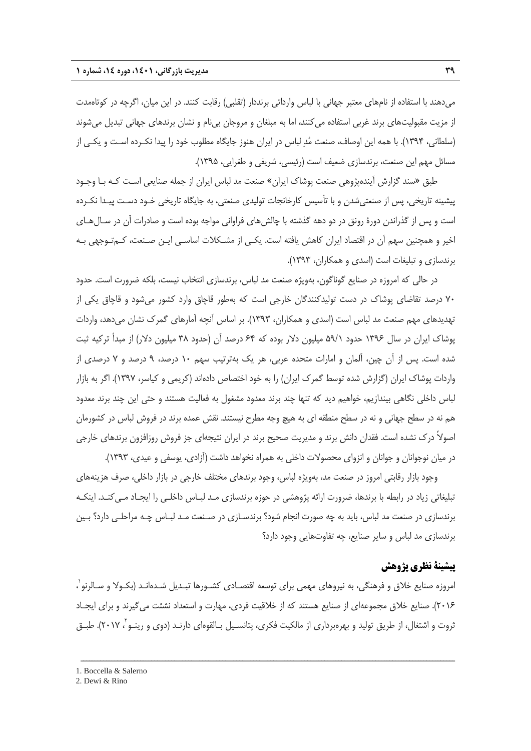ميدهند با استفاده از نامهاي معتبر جهاني با لباس وارداتي برنددار (تقلبي) رقابت كنند. در اين ميان، اگرچه در كوتاهمدت از مزيت مقبوليتهاي برند غربي استفاده ميكنند، اما به مبلغان و مروجان بينام و نشان برندهاي جهاني تبديل ميشوند (سلطاني، 1394). با همه اين اوصاف، صنعت مد لباس در ايران هنوز جايگاه مطلوب خود را پيدا نكـرده اسـت و يكـي از مسائل مهم اين صنعت، برندسازي ضعيف است (رئيسي، شريفي و طغرايي، 1395).

طبق «سند گزارش آيندهپژوهي صنعت پوشاك ايران» صنعت مد لباس ايران از جمله صنايعي اسـت كـه بـا وجـود پيشينه تاريخي، پس از صنعتيشدن و با تأسيس كارخانجات توليدي صنعتي، به جايگاه تاريخي خـود دسـت پيـدا نكـرده است و پس از گذراندن دورة رونق در دو دهه گذشته با چالشهاي فراواني مواجه بوده است و صادرات آن در سـالهـاي اخير و همچنين سهم آن در اقتصاد ايران كاهش يافته است. يكـي از مشـكلات اساسـي ايـن صـنعت، كـمتـوجهي بـه برندسازي و تبليغات است (اسدي و همكاران، 1393).

در حالي كه امروزه در صنايع گوناگون، بهويژه صنعت مد لباس، برندسازي انتخاب نيست، بلكه ضرورت است. حدود 70 درصد تقاضاي پوشاك در دست توليدكنندگان خارجي است كه بهطور قاچاق وارد كشور ميشود و قاچاق يكي از تهديدهاي مهم صنعت مد لباس است (اسدي و همكاران، 1393). بر اساس آنچه آمارهاي گمرك نشان ميدهد، واردات پوشاك ايران در سال 1396 حدود 59/1 ميليون دلار بوده كه 64 درصد آن (حدود 38 ميليون دلار) از مبدأ تركيه ثبت شده است. پس از آن چين، آلمان و امارات متحده عربي، هر يك بهترتيب سهم 10 درصد، 9 درصد و 7 درصدي از واردات پوشاك ايران (گزارش شده توسط گمرك ايران) را به خود اختصاص دادهاند (كريمي و كياسر، 1397). اگر به بازار لباس داخلي نگاهي بيندازيم، خواهيم ديد كه تنها چند برند معدود مشغول به فعاليت هستند و حتي اين چند برند معدود هم نه در سطح جهاني و نه در سطح منطقه اي به هيچ وجه مطرح نيستند. نقش عمده برند در فروش لباس در كشورمان اصولاً درك نشده است. فقدان دانش برند و مديريت صحيح برند در ايران نتيجهاي جز فروش روزافزون برندهاي خارجي در ميان نوجوانان و جوانان و انزواي محصولات داخلي به همراه نخواهد داشت (آزادي، يوسفي و عيدي، 1393).

وجود بازار رقابتي امروز در صنعت مد، بهويژه لباس، وجود برندهاي مختلف خارجي در بازار داخلي، صرف هزينههاي تبليغاتي زياد در رابطه با برندها، ضرورت ارائه پژوهشي در حوزه برندسازي مـد لبـاس داخلـي را ايجـاد مـيكنـد. اينكـه برندسازي در صنعت مد لباس، بايد به چه صورت انجام شود؟ برندسـازي در صـنعت مـد لبـاس چـه مراحلـي دارد؟ بـين برندسازي مد لباس و ساير صنايع، چه تفاوتهايي وجود دارد؟

# **پيشينة نظري پژوهش**

 $\mathfrak{f}$  امروزه صنايع خلاق و فرهنگي، به نيروهاي مهمي براي توسعه اقتصـادي كشـورها تبـديل شـدهانـد (بكـولا و سـالرنو $\mathfrak{r}'$ ، 2016). صنايع خلاق مجموعهاي از صنايع هستند كه از خلاقيت فردي، مهارت و استعداد نشئت ميگيرند و براي ايجـاد ثروت و اشتغال، از طريق توليد و بهرهبرداري از مالكيت فكري، پتانسـيل بـالقوهاي دارنـد (دوي و رينـو '، ٢٠١٧). طبـق

<sup>1.</sup> Boccella & Salerno

<sup>2.</sup> Dewi & Rino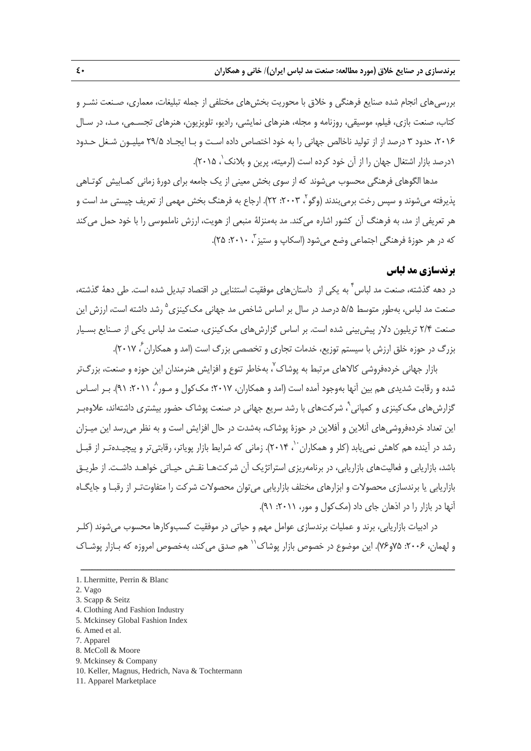بررسيهاي انجام شده صنايع فرهنگي و خلاق با محوريت بخشهاي مختلفي از جمله تبليغات، معماري، صـنعت نشـر و كتاب، صنعت بازي، فيلم، موسيقي، روزنامه و مجله، هنرهاي نمايشي، راديو، تلويزيون، هنرهاي تجسـمي، مـد، در سـال ،2016 حدود 3 درصد از از توليد ناخالص جهاني را به خود اختصاص داده اسـت و بـا ايجـاد 29/5 ميليـون شـغل حـدود ۱درصد بازار اشتغال جهان را از آن خود كرده است (لرميته، پرين و بلانك<sup>'</sup>، ۲۰۱۵).

مدها الگوهاي فرهنگي محسوب ميشوند كه از سوي بخش معيني از يك جامعه براي دورة زماني كمـابيش كوتـاهي پذيرفته مىشوند و سپس رخت برمىبندند (وگو<sup>۲</sup>، ۲۰۰۳: ۲۲). ارجاع به فرهنگ بخش مهمى از تعريف چيستى مد است و هر تعريفي از مد، به فرهنگ آن كشور اشاره ميكند. مد بهمنزلة منبعي از هويت، ارزش ناملموسي را با خود حمل ميكند كه در هر حوزهٔ فرهنگي اجتماعي وضع مي شود (اسكاپ و ستيز <sup>۳</sup>، ۲۰۱۰: ۲۵).

## **برندسازي مد لباس**

در دهه گذشته، صنعت مد لباس <sup>۲</sup> به يكى از داستانِ هاى موفقيت استثنايى در اقتصاد تبديل شده است. طى دههٔ گذشته، صنعت مد لباس، بهطور متوسط ۵/۵ درصد در سال بر اساس شاخص مد جهاني مک کينزي<sup>0</sup> رشد داشته است، ارزش اين صنعت 2/4 تريليون دلار پيشبيني شده است. بر اساس گزارشهاي مككينزي، صنعت مد لباس يكي از صـنايع بسـيار بزرگ در حوزه خلق ارزش با سيستم توزيع، خدمات تجاري و تخصصي بزرگ است (امد و همكاران <sup>۶</sup> ۲۰۱۷).

بازار جهانی خردهفروشی كالاهای مرتبط به پوشاک<sup>٬</sup>، بهخاطر تنوع و افزایش هنرمندان این حوزه و صنعت، بزرگ¤ر شده و رقابت شديدي هم بين آنها بهوجود آمده است (امد و همكاران، ٢٠١٧؛ مك كول و مـور ، ٢٠١١؛ ٩١). بـر اسـاس گزارشهای مک کینزی و کمپانی`، شرکتهای با رشد سریع جهانی در صنعت پوشاک حضور بیشتری داشتهاند، علاوهبـر اين تعداد خردهفروشيهاي آنلاين و آفلاين در حوزة پوشاك، بهشدت در حال افزايش است و به نظر ميرسد اين ميـزان رشد در آينده هم كاهش نمي يابد (كلر و همكاران ``، ۲۰۱۴). زماني كه شرايط بازار پوياتر، رقابتي تر و پيچيـدهتـر از قبـل باشد، بازاريابي و فعاليتهاي بازاريابي، در برنامهريزي استراتژيك آن شركتهـا نقـش حيـاتي خواهـد داشـت. از طريـق بازاريابي يا برندسازي محصولات و ابزارهاي مختلف بازاريابي ميتوان محصولات شركت را متفاوتتـر از رقبـا و جايگـاه آنها در بازار را در اذهان جاي داد (مككول و مور، :2011 91).

در ادبيات بازاريابي، برند و عمليات برندسازي عوامل مهم و حياتي در موفقيت كسبوكارها محسوب ميشوند (كلـر و لهمان، ۲۰۰۶: ۷۵و۷۶). این موضوع در خصوص بازار پوشاک $^{\prime\prime}$  هم صدق می $z$ ند، بهخصوص امروزه که بـازار پوشـاک

- 4. Clothing And Fashion Industry
- 5. Mckinsey Global Fashion Index
- 6. Amed et al. 7. Apparel
- 8. McColl & Moore
- 9. Mckinsey & Company
- 10. Keller, Magnus, Hedrich, Nava & Tochtermann
- 11. Apparel Marketplace

<sup>1.</sup> Lhermitte, Perrin & Blanc

<sup>2.</sup> Vago

<sup>3.</sup> Scapp & Seitz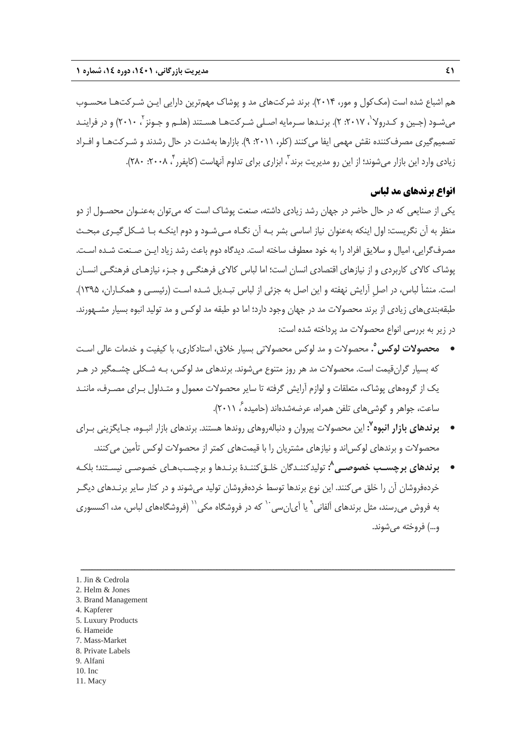هم اشباع شده است (مككول و مور، 2014). برند شركتهاي مد و پوشاك مهمترين دارايي ايـن شـركتهـا محسـوب میشـود (جـین و کـدرولا<sup>'</sup>، ۲۰۱۷: ۲). برنـدها سـرمایه اصـلی شـرکتهـا هسـتند (هلـم و جـونز <sup>۲</sup> ، ۲۰۱۰) و در فراینـد تصميمگيري مصرفكننده نقش مهمي ايفا ميكنند (كلر، :2011 9). بازارها بهشدت در حال رشدند و شـركتهـا و افـراد زيادي وارد اين بازار ميشوند؛ از اين رو مديريت برند<sup>7</sup>، ابزاري براي تداوم آنهاست (كاپفرر <sup>۲</sup>، ۲۰۰۸: ۲۸۰).

## **انواع برندهاي مد لباس**

يكي از صنايعي كه در حال حاضر در جهان رشد زيادي داشته، صنعت پوشاك است كه ميتوان بهعنـوان محصـول از دو منظر به آن نگريست: اول اينكه بهعنوان نياز اساسي بشر بـه آن نگـاه مـي شـود و دوم اينكـه بـا شـكل گيـري مبحـث مصرفگرايي، اميال و سلايق افراد را به خود معطوف ساخته است. ديدگاه دوم باعث رشد زياد ايـن صـنعت شـده اسـت. پوشاك كالاي كاربردي و از نيازهاي اقتصادي انسان است؛ اما لباس كالاي فرهنگـي و جـزء نيازهـاي فرهنگـي انسـان است. منشأ لباس، در اصلِ آرايش نهفته و اين اصل به جزئي از لباس تبـديل شـده اسـت (رئيسـي و همكـاران، 1395). طبقهبنديهاي زيادي از برند محصولات مد در جهان وجود دارد؛ اما دو طبقه مد لوكس و مد توليد انبوه بسيار مشـهورند. در زير به بررسي انواع محصولات مد پرداخته شده است:

- **.** محصولات و مد لوكس محصولاتي بسيار خلاق، استادكاري، با كيفيت و خدمات عالي اسـت **<sup>5</sup> محصولات لوكس** كه بسيار گرانقيمت است. محصولات مد هر روز متنوع ميشوند. برندهاي مد لوكس، بـه شـكلي چشـمگير در هـر يك از گروههاي پوشاك، متعلقات و لوازم آرايش گرفته تا ساير محصولات معمول و متـداول بـراي مصـرف، ماننـد ، 2011).<sup>6</sup> ساعت، جواهر و گوشيهاي تلفن همراه، عرضهشدهاند (حاميده
- **:** اين محصولات پيروان و دنبالهروهاي روندها هستند. برندهاي بازار انبـوه، جـايگزيني بـراي **<sup>7</sup> برندهاي بازار انبوه** محصولات و برندهاي لوكساند و نيازهاي مشتريان را با قيمتهاي كمتر از محصولات لوكس تأمين ميكنند.
- **:** توليدكننـدگان خلـقكننـدة برنـدها و برچسـبهـاي خصوصـي نيسـتند؛ بلكـه **<sup>8</sup> برندهاي برچسـب خصوصـي** خردهفروشان آن را خلق ميكنند. اين نوع برندها توسط خردهفروشان توليد ميشوند و در كنار ساير برنـدهاي ديگـر به فروش مىرسند، مثل برندهاى آلفانى<sup>۹</sup> يا آى|نسى<sup>. ۱</sup> كه در فروشگاه مكى<sup>۱۱</sup> (فروشگاههاى لباس، مد، اكسسورى و...) فروخته ميشوند.

- 3. Brand Management
- 4. Kapferer
- 5. Luxury Products
- 6. Hameide
- 7. Mass-Market
- 8. Private Labels 9. Alfani
- 10. Inc
- 11. Macy

<sup>1.</sup> Jin & Cedrola

<sup>2.</sup> Helm & Jones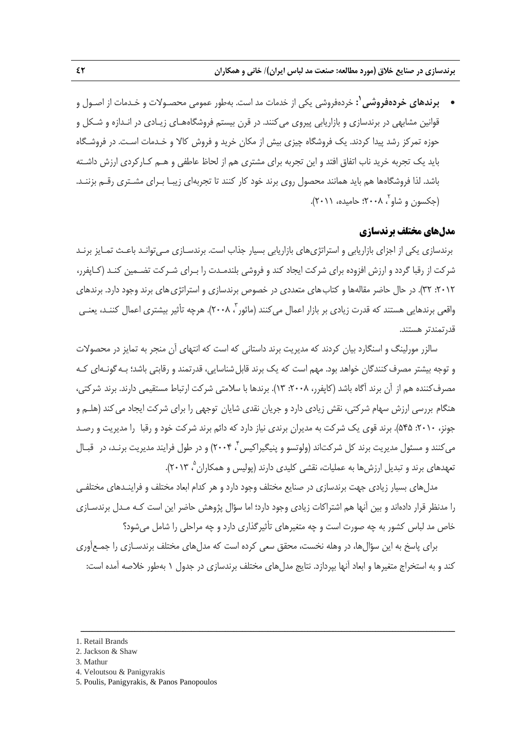**1 برندهاي خردهفروشي :** خردهفروشي يكي از خدمات مد است. بهطور عمومي محصـولات و خـدمات از اصـول و قوانين مشابهي در برندسازي و بازاريابي پيروي ميكنند. در قرن بيستم فروشگاههـاي زيـادي در انـدازه و شـكل و حوزه تمركز رشد پيدا كردند. يك فروشگاه چيزي بيش از مكان خريد و فروش كالا و خـدمات اسـت. در فروشـگاه بايد يك تجربه خريد ناب اتفاق افتد و اين تجربه براي مشتري هم از لحاظ عاطفي و هـم كـاركردي ارزش داشـته باشد. لذا فروشگاهها هم بايد همانند محصول روي برند خود كار كنند تا تجربهاي زيبـا بـراي مشـتري رقـم بزننـد. ، 2008؛ حاميده، 2011). <sup>2</sup> (جكسون و شاو

## **مدلهاي مختلف برندسازي**

برندسازي يكي از اجزاي بازاريابي و استراتژيهاي بازاريابي بسيار جذاب است. برندسـازي مـيتوانـد باعـث تمـايز برنـد شركت از رقبا گردد و ارزش افزوده براي شركت ايجاد كند و فروشي بلندمـدت را بـراي شـركت تضـمين كنـد (كـاپفرر، :2012 32). در حال حاضر مقالهها و كتابهاي متعددي در خصوص برندسازي و استراتژيهاي برند وجود دارد. برندهاي واقعی برندهایی هستند که قدرت زیادی بر بازار اعمال میکنند (ماثور <sup>۳</sup> ۲۰۰۸). هرچه تأثیر بیشتری اعمال کننـد، یعنـی قدرتمندتر هستند.

سالزر مورلينگ و اسنگارد بيان كردند كه مديريت برند داستاني كه است كه انتهاي آن منجر به تمايز در محصولات و توجه بيشتر مصرف كنندگان خواهد بود. مهم است كه يک برند قابل شناسايي، قدرتمند و رقابتي باشد؛ بـه گونـهاي كـه مصرفكننده هم از آن برند آگاه باشد (كاپفرر، ۲۰۰۸: ۱۳). برندها با سلامتي شركت ارتباط مستقيمي دارند. برند شركتي، هنگام بررسي ارزش سهام شركتي، نقش زيادي دارد و جريان نقدي شايان توجهي را براي شركت ايجاد ميكند (هلـم و جونز، :2010 545). برند قوي يك شركت به مديران برندي نياز دارد كه دائم برند شركت خود و رقبا را مديريت و رصـد میكنند و مسئول مديريت برند كل شركتاند (ولوتسو و پنيگيراكيس ٌ، ۲۰۰۴) و در طول فرايند مديريت برنـد، در قبـال تعهدهاي برند و تبديل ارزش ها به عمليات، نقشي كليدي دارند (پوليس و همكاران <sup>۵</sup> ۲۰۱۳).

مدلهاي بسيار زيادي جهت برندسازي در صنايع مختلف وجود دارد و هر كدام ابعاد مختلف و فراينـدهاي مختلفـي را مدنظر قرار دادهاند و بين آنها هم اشتراكات زيادي وجود دارد؛ اما سؤال پژوهش حاضر اين است كـه مـدل برندسـازي خاص مد لباس كشور به چه صورت است و چه متغيرهاي تأثيرگذاري دارد و چه مراحلي را شامل ميشود؟

براي پاسخ به اين سؤالها، در وهله نخست، محقق سعي كرده است كه مدلهاي مختلف برندسـازي را جمـعآوري كند و به استخراج متغيرها و ابعاد آنها بپردازد. نتايج مدل هاي مختلف برندسازي در جدول ١ بهطور خلاصه آمده است:

ــــــــــــــــــــــــــــــــــــــــــــــــــــــــــــــــــــــــــــــــــــــــــــــــــــــــــــــــــــــــــــــــــــ

4. Veloutsou & Panigyrakis

<sup>1.</sup> Retail Brands

<sup>2.</sup> Jackson & Shaw

<sup>3.</sup> Mathur

<sup>5.</sup> Poulis, Panigyrakis, & Panos Panopoulos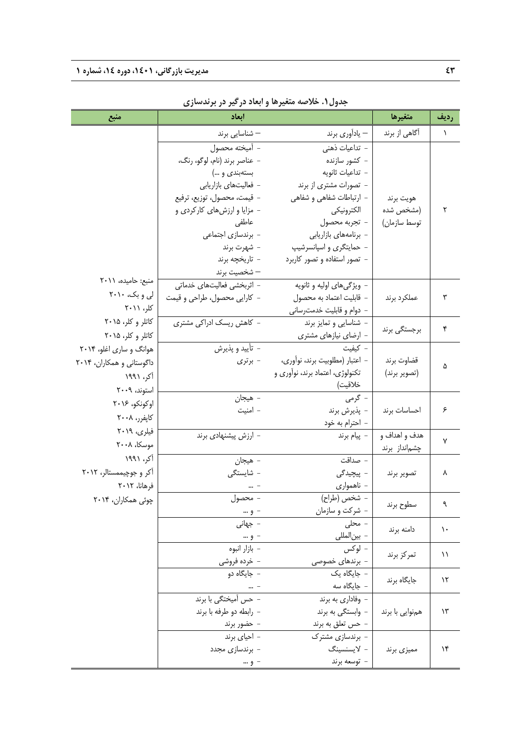| منبع                      | ابعاد                         |                                 | متغيرها         | رديف          |
|---------------------------|-------------------------------|---------------------------------|-----------------|---------------|
|                           | – شناسایی برند                | – يادأوري برند                  | آگاهی از برند   | 1             |
|                           | - أميخته محصول                | -  تداعیات ذهنی                 |                 |               |
|                           | - عناصر برند (نام، لوگو، رنگ، | - كشور سازنده                   |                 |               |
|                           | بستهبندی و …)                 | - تداعيات ثانويه                |                 |               |
|                           | - فعالیتهای بازاریابی         | - تصورات مشتری از برند          |                 |               |
|                           | - قيمت، محصول، توزيع، ترفيع   | - ارتباطات شفاهی و شفاهی        | هويت برند       |               |
|                           | - مزایا و ارزشهای کارکردی و   | الكترونيكي                      | (مشخص شده       | ٢             |
|                           | عاطفي                         | - تجربه محصول                   | توسط سازمان)    |               |
|                           | - برندسازی اجتماعی            | - برنامههای بازاریابی           |                 |               |
|                           | – شهرت برند                   | - حمایتگری و اسپانسرشیپ         |                 |               |
|                           | - تاريخچه برند                | - تصور استفاده و تصور کاربرد    |                 |               |
|                           | — شخصيت برند                  |                                 |                 |               |
| منبع: حاميده، ٢٠١١        | - اثربخشی فعالیتهای خدماتی    | - ویژگیهای اولیه و ثانویه       |                 |               |
| لی و بک، ۲۰۱۰             | - كارايي محصول، طراحي و قيمت  | - قابليت اعتماد به محصول        | عملكرد برند     | ٣             |
| کلر، ۲۰۱۱                 |                               | – دوام و قابلیت خدمترسانی       |                 |               |
| کاتلر و کلر، ۲۰۱۵         | - كاهش ريسك ادراكي مشتري      | - شناسایی و تمایز برند          | برجستگی برند    | ۴             |
| کاتلر و کلر، ۲۰۱۵         |                               | – ارضای نیازهای مشتری           |                 |               |
| هوانگ و ساری اغلو، ۲۰۱۴   | - تأييد و پذيرش               | – كيفيت                         |                 |               |
| داگوستانی و همکاران، ۲۰۱۴ | - برتری                       | - اعتبار (مطلوبيت برند، نوأورى، | قضاوت برند      | ۵             |
| آکر، ۱۹۹۱                 |                               | تکنولوژی، اعتماد برند، نوآوری و | (تصوير برند)    |               |
| استوند، ۲۰۰۹              |                               | خلاقيت)                         |                 |               |
| اوكونكو، ٢٠١۶             | - هيجان                       | - گرمی                          |                 |               |
| کاپفرر، ۲۰۰۸              | - امنيت                       | – پذيرش برند                    | احساسات برند    | ۶             |
| فیلری، ۲۰۱۹               |                               | – احترام به خود                 |                 |               |
| موسكا، ٢٠٠٨               | - ارزش پیشنهادی برند          | - پيام برند                     | هدف و اهداف و   | ٧             |
| آکر، ۱۹۹۱                 |                               |                                 | چشم نداز برند   |               |
|                           | – هيجان                       | – صداقت                         |                 |               |
| آکر و جوچیممستالر، ۲۰۱۲   | - شايستگى                     | - پیچیدگی                       | تصوير برند      | ٨             |
| فرهانا، ۲۰۱۲              |                               | - ناھموارى                      |                 |               |
| چوئی همکاران، ۲۰۱۴        | - محصول                       | - شخص (طراح)                    | سطوح برند       | ٩             |
|                           | - و …                         | - شركت و سازمان                 |                 |               |
|                           | – جهانی                       | - محلی                          | دامنه برند      | $\mathcal{L}$ |
|                           | - و …                         | - بين لمللي                     |                 |               |
|                           | - بازار انبوه                 | - لوکس                          | تمركز برند      | $\setminus$   |
|                           | - خرده فروشی                  | - برندهای خصوصی                 |                 |               |
|                           | - جايگاه دو                   | - جایگاه یک                     | جایگاه برند     | ۱۲            |
|                           |                               | –  جایگاه سه                    |                 |               |
|                           | - حس أميختگي با برند          | - وفاداري به برند               |                 |               |
|                           | – رابطه دو طرفه با برند       | - وابستگی به برند               | همنوایی با برند | $\mathcal{N}$ |
|                           | - حضور برند                   | - حس تعلق به برند               |                 |               |
|                           | - احیای برند                  | - برندسازی مشترک                |                 |               |
|                           | - برندسازی مجدد               | - لايسنسينگ                     | مميزي برند      | ۱۴            |
|                           | - و …                         | - توسعه برند                    |                 |               |

**جدول.1 خلاصه متغيرها و ابعاد درگير در برندسازي**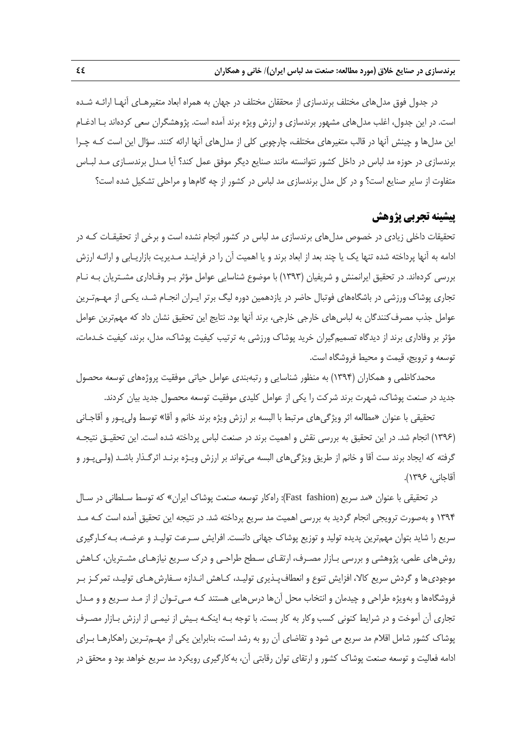در جدول فوق مدلهاي مختلف برندسازي از محققان مختلف در جهان به همراه ابعاد متغيرهـاي آنهـا ارائـه شـده است. در اين جدول، اغلب مدلهاي مشهور برندسازي و ارزش ويژه برند آمده است. پژوهشگران سعي كردهاند بـا ادغـام اين مدلها و چينش آنها در قالب متغيرهاي مختلف، چارچوبي كلي از مدلهاي آنها ارائه كنند. سؤال اين است كـه چـرا برندسازي در حوزه مد لباس در داخل كشور نتوانسته مانند صنايع ديگر موفق عمل كند؟ آيا مـدل برندسـازي مـد لبـاس متفاوت از ساير صنايع است؟ و در كل مدل برندسازي مد لباس در كشور از چه گامها و مراحلي تشكيل شده است؟

## **پيشينه تجربي پژوهش**

تحقيقات داخلي زيادي در خصوص مدلهاي برندسازي مد لباس در كشور انجام نشده است و برخي از تحقيقـات كـه در ادامه به آنها پرداخته شده تنها يك يا چند بعد از ابعاد برند و يا اهميت آن را در فراينـد مـديريت بازاريـابي و ارائـه ارزش بررسي كردهاند. در تحقيق ايرانمنش و شريفيان (1393) با موضوع شناسايي عوامل مؤثر بـر وفـاداري مشـتريان بـه نـام تجاري پوشاك ورزشي در باشگاههاي فوتبال حاضر در يازدهمين دوره ليگ برتر ايـران انجـام شـد، يكـي از مهـمتـرين عوامل جذب مصرفكنندگان به لباسهاي خارجي خارجي، برند آنها بود. نتايج اين تحقيق نشان داد كه مهمترين عوامل مؤثر بر وفاداري برند از ديدگاه تصميمگيران خريد پوشاك ورزشي به ترتيب كيفيت پوشاك، مدل، برند، كيفيت خـدمات، توسعه و ترويج، قيمت و محيط فروشگاه است.

محمدكاظمي و همكاران (1394) به منظور شناسايي و رتبهبندي عوامل حياتي موفقيت پروژههاي توسعه محصول جديد در صنعت پوشاك، شهرت برند شركت را يكي از عوامل كليدي موفقيت توسعه محصول جديد بيان كردند.

تحقيقي با عنوان «مطالعه اثر ويژگيهاي مرتبط با البسه بر ارزش ويژه برند خانم و آقا» توسط وليپـور و آقاجـاني (1396) انجام شد. در اين تحقيق به بررسي نقش و اهميت برند در صنعت لباس پرداخته شده است. اين تحقيـق نتيجـه گرفته كه ايجاد برند ست آقا و خانم از طريق ويژگيهاي البسه ميتواند بر ارزش ويـژه برنـد اثرگـذار باشـد (ولـيپـور و آقاجاني، 1396).

در تحقيقي با عنوان «مد سريع (fashion Fast(: راهكار توسعه صنعت پوشاك ايران» كه توسط سـلطاني در سـال 1394 و بهصورت ترويجي انجام گرديد به بررسي اهميت مد سريع پرداخته شد. در نتيجه اين تحقيق آمده است كـه مـد سريع را شايد بتوان مهمترين پديده توليد و توزيع پوشاك جهاني دانست. افرايش سـرعت توليـد و عرضـه، بـهكـارگيري روشهاي علمي، پژوهشي و بررسي بـازار مصـرف، ارتقـاي سـطح طراحـي و درك سـريع نيازهـاي مشـتريان، كـاهش موجوديها و گردش سريع كالا، افزايش تنوع و انعطافپـذيري توليـد، كـاهش انـدازه سـفارشهـاي توليـد، تمركـز بـر فروشگاهها و بهويژه طراحي و چيدمان و انتخاب محل آنها درسهايي هستند كـه مـيتـوان از از مـد سـريع و و مـدل تجاري آن آموخت و در شرايط كنوني كسب وكار به كار بست. با توجه بـه اينكـه بـيش از نيمـي از ارزش بـازار مصـرف پوشاك كشور شامل اقلام مد سريع مي شود و تقاضاي آن رو به رشد است، بنابراين يكي از مهـمتـرين راهكارهـا بـراي ادامه فعاليت و توسعه صنعت پوشاك كشور و ارتقاي توان رقابتي آن، بهكارگيري رويكرد مد سريع خواهد بود و محقق در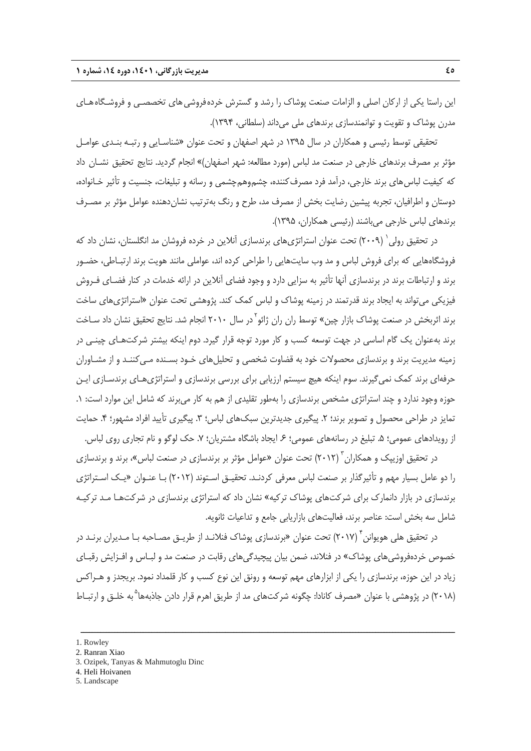اين راستا يكي از اركان اصلي و الزامات صنعت پوشاك را رشد و گسترش خردهفروشيهاي تخصصـي و فروشـگاههـاي مدرن پوشاك و تقويت و توانمندسازي برندهاي ملي ميداند (سلطاني، 1394).

تحقيقي توسط رئيسي و همكاران در سال 1395 در شهر اصفهان و تحت عنوان «شناسـايي و رتبـه بنـدي عوامـل مؤثر بر مصرف برندهاي خارجي در صنعت مد لباس (مورد مطالعه: شهر اصفهان)» انجام گرديد. نتايج تحقيق نشـان داد كه كيفيت لباس هاي برند خارجي، درآمد فرد مصرف كننده، چشمهوهمچشمي و رسانه و تبليغات، جنسيت و تأثير خـانواده، دوستان و اطرافيان، تجربه پيشين رضايت بخش از مصرف مد، طرح و رنگ بهترتيب نشاندهنده عوامل مؤثر بر مصـرف برندهاي لباس خارجي ميباشند (رئيسي همكاران، 1395).

در تحقیق رولی` (۲۰۰۹) تحت عنوان استراتژیهای برندسازی آنلاین در خرده فروشان مد انگلستان، نشان داد كه فروشگاههايي كه براي فروش لباس و مد وب سايتهايي را طراحي كرده اند، عواملي مانند هويت برند ارتبـاطي، حضـور برند و ارتباطات برند در برندسازي آنها تأثير به سزايي دارد و وجود فضاي آنلاين در ارائه خدمات در كنار فضـاي فـروش فيزيكي ميتواند به ايجاد برند قدرتمند در زمينه پوشاك و لباس كمك كند. پژوهشي تحت عنوان «استراتژيهاي ساخت برند اثربخش در صنعت پوشاک بازار چین» توسط ران ران ژائو <sup>۱</sup>در سال ۲۰۱۰ انجام شد. نتایج تحقیق نشان داد سـاخت برند بهعنوان يك گام اساسي در جهت توسعه كسب و كار مورد توجه قرار گيرد. دوم اينكه بيشتر شركتهـاي چينـي در زمينه مديريت برند و برندسازي محصولات خود به قضاوت شخصي و تحليلهاي خـود بسـنده مـيكننـد و از مشـاوران حرفهاي برند كمك نميگيرند. سوم اينكه هيچ سيستم ارزيابي براي بررسي برندسازي و استراتژيهـاي برندسـازي ايـن حوزه وجود ندارد و چند استراتژي مشخص برندسازي را بهطور تقليدي از هم به كار مي برند كه شامل اين موارد است: ١. تمايز در طراحي محصول و تصوير برند؛ ٢. پيگيري جديدترين سبکهاي لباس؛ ٣. پيگيري تأييد افراد مشهور؛ ۴. حمايت از رويدادهاي عمومي؛ ۵. تبليغ در رسانههاي عمومي؛ ۶. ايجاد باشگاه مشتريان؛ ۷. حک لوگو و نام تجاري روي لباس.

در تحقيق اوزيپک و همکاران <sup>۳</sup> (۲۰۱۲) تحت عنوان «عوامل مؤثر بر برندسازی در صنعت لباس»، برند و برندسازی را دو عامل بسيار مهم و تأثيرگذار بر صنعت لباس معرفي كردنـد. تحقيـق اسـتوند (2012) بـا عنـوان «يـك اسـتراتژي برندسازي در بازار دانمارك براي شركتهاي پوشاك تركيه» نشان داد كه استراتژي برندسازي در شركتهـا مـد تركيـه شامل سه بخش است: عناصر برند، فعاليتهاي بازاريابي جامع و تداعيات ثانويه.

در تحقیق هلی هویوانن <sup>۴</sup> (۲۰۱۷) تحت عنوان «برندسازی پوشاک فنلانـد از طریـق مصـاحبه بـا مـدیران برنـد در خصوص خردهفروشيهاي پوشاك» در فنلاند، ضمن بيان پيچيدگيهاي رقابت در صنعت مد و لبـاس و افـزايش رقبـاي زياد در اين حوزه، برندسازي را يكي از ابزارهاي مهم توسعه و رونق اين نوع كسب و كار قلمداد نمود. بريجدز و هـراكس به خلـق و ارتبـاط <sup>5</sup> (2018) در پژوهشي با عنوان «مصرف كانادا: چگونه شركتهاي مد از طريق اهرم قرار دادن جاذبهها

- 3. Ozipek, Tanyas & Mahmutoglu Dinc
- 4. Heli Hoivanen
- 5. Landscape

<sup>1.</sup> Rowley

<sup>2.</sup> Ranran Xiao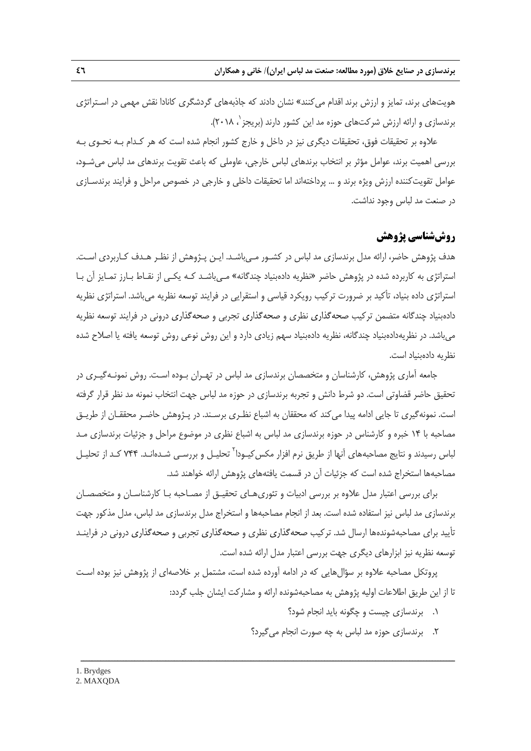هويتهاي برند، تمايز و ارزش برند اقدام ميكنند» نشان دادند كه جاذبههاي گردشگري كانادا نقش مهمي در اسـتراتژي برندسازي و ارائه ارزش شركتهاي حوزه مد اين كشور دارند (بريجز `، ٢٠١٨).

علاوه بر تحقيقات فوق، تحقيقات ديگري نيز در داخل و خارج كشور انجام شده است كه هر كـدام بـه نحـوي بـه بررسي اهميت برند، عوامل مؤثر بر انتخاب برندهاي لباس خارجي، عاوملي كه باعث تقويت برندهاي مد لباس ميشـود، عوامل تقويتكننده ارزش ويژه برند و ... پرداختهاند اما تحقيقات داخلي و خارجي در خصوص مراحل و فرايند برندسـازي در صنعت مد لباس وجود نداشت.

## **روششناسي پژوهش**

هدف پژوهش حاضر، ارائه مدل برندسازي مد لباس در كشـور مـيباشـد. ايـن پـژوهش از نظـر هـدف كـاربردي اسـت. استراتژي به كاربرده شده در پژوهش حاضر «نظريه دادهبنياد چندگانه» مـيباشـد كـه يكـي از نقـاط بـارز تمـايز آن بـا استراتژي داده بنياد، تأكيد بر ضرورت تركيب رويكرد قياسي و استقرايي در فرايند توسعه نظريه ميباشد. استراتژي نظريه دادهبنياد چندگانه متضمن تركيب صحهگذاري نظري و صحهگذاري تجربي و صحهگذاري دروني در فرايند توسعه نظريه ميباشد. در نظريهدادهبنياد چندگانه، نظريه دادهبنياد سهم زيادي دارد و اين روش نوعي روش توسعه يافته يا اصلاح شده نظريه دادهبنياد است.

جامعه آماري پژوهش، كارشناسان و متخصصان برندسازي مد لباس در تهـران بـوده اسـت. روش نمونـهگيـري در تحقيق حاضر قضاوتي است. دو شرط دانش و تجربه برندسازي در حوزه مد لباس جهت انتخاب نمونه مد نظر قرار گرفته است. نمونهگيري تا جايي ادامه پيدا ميكند كه محققان به اشباع نظـري برسـند. در پـژوهش حاضـر محققـان از طريـق مصاحبه با 14 خبره و كارشناس در حوزه برندسازي مد لباس به اشباع نظري در موضوع مراحل و جزئيات برندسازي مـد لباس رسيدند و نتايج مصاحبههاي آنها از طريق نرم افزار مكس كيـودا<sup>٢</sup> تحليـل و بررسـي شـدهانـد. ٧۴۴ كـد از تحليـل مصاحبهها استخراج شده است كه جزئيات آن در قسمت يافتههاي پژوهش ارائه خواهند شد.

براي بررسي اعتبار مدل علاوه بر بررسي ادبيات و تئوريهـاي تحقيـق از مصـاحبه بـا كارشناسـان و متخصصـان برندسازي مد لباس نيز استفاده شده است. بعد از انجام مصاحبهها و استخراج مدل برندسازي مد لباس، مدل مذكور جهت تأييد براي مصاحبهشوندهها ارسال شد. تركيب صحهگذاري نظري و صحهگذاري تجربي و صحهگذاري دروني در فراينـد توسعه نظريه نيز ابزارهاي ديگري جهت بررسي اعتبار مدل ارائه شده است.

پروتكل مصاحبه علاوه بر سؤالهايي كه در ادامه آورده شده است، مشتمل بر خلاصهاي از پژوهش نيز بوده اسـت تا از اين طريق اطلاعات اوليه پژوهش به مصاحبهشونده ارائه و مشاركت ايشان جلب گردد:

- .1 برندسازي چيست و چگونه بايد انجام شود؟
- .2 برندسازي حوزه مد لباس به چه صورت انجام ميگيرد؟

<sup>2.</sup> MAXQDA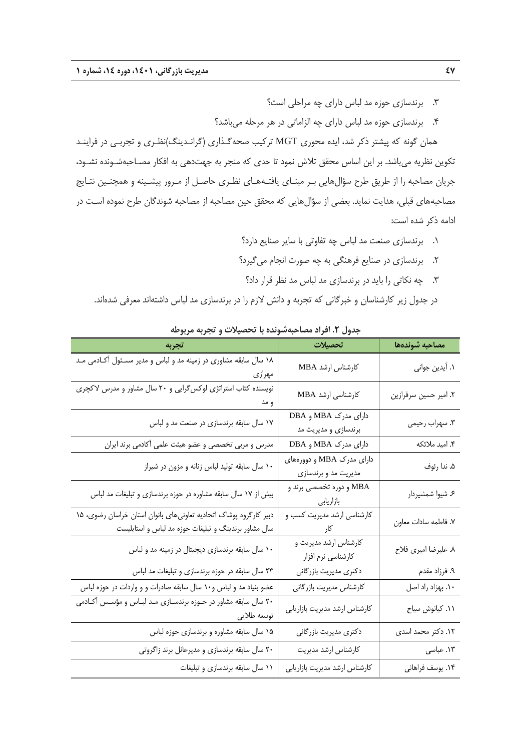- .3 برندسازي حوزه مد لباس داراي چه مراحلي است؟
- .4 برندسازي حوزه مد لباس داراي چه الزاماتي در هر مرحله ميباشد؟

همان گونه كه پيشتر ذكر شد، ايده محوري MGT تركيب صحهگـذاري (گرانـدينگ)نظـري و تجربـي در فراينـد تكوين نظريه ميباشد. بر اين اساس محقق تلاش نمود تا حدي كه منجر به جهتدهي به افكار مصـاحبهشـونده نشـود، جريان مصاحبه را از طريق طرح سؤالهايي بـر مبنـاي يافتـههـاي نظـري حاصـل از مـرور پيشـينه و همچنـين نتـايج مصاحبههاي قبلي، هدايت نمايد. بعضي از سؤالهايي كه محقق حين مصاحبه از مصاحبه شوندگان طرح نموده اسـت در ادامه ذكر شده است:

- .1 برندسازي صنعت مد لباس چه تفاوتي با ساير صنايع دارد؟
- .2 برندسازي در صنايع فرهنگي به چه صورت انجام ميگيرد؟
	- .3 چه نكاتي را بايد در برندسازي مد لباس مد نظر قرار داد؟
- در جدول زير كارشناسان و خبرگاني كه تجربه و دانش لازم را در برندسازي مد لباس داشتهاند معرفي شدهاند.

| تجربه                                                                                                                     | تحصيلات                                           | مصاحبه شوندهها        |
|---------------------------------------------------------------------------------------------------------------------------|---------------------------------------------------|-----------------------|
| ۱۸ سال سابقه مشاوری در زمینه مد و لباس و مدیر مسـئول آکـادمی مـد<br>مهرازى                                                | كارشناس ارشد MBA                                  | ١. أيدين جواني        |
| نویسنده کتاب استراتژی لوکس گرایی و ۲۰ سال مشاور و مدرس لاکچری<br>و مد                                                     | كارشناسى ارشد MBA                                 | ٢. امير حسين سرفرازين |
| ۱۷ سال سابقه برندسازی در صنعت مد و لباس                                                                                   | دارای مدرک MBA و DBA<br>برندسازي و مديريت مد      | ۳. سهراب رحيمي        |
| مدرس و مربی تخصصی و عضو هیئت علمی آکادمی برند ایران                                                                       | دارای مدرک MBA و DBA                              | ۴. امید ملائکه        |
| ۱۰ سال سابقه تولید لباس زنانه و مزون در شیراز                                                                             | دارای مدرک MBA و دوورههای<br>مدیریت مد و برندسازی | ۵. ندا رئوف           |
| بیش از ۱۷ سال سابقه مشاوره در حوزه برندسازی و تبلیغات مد لباس                                                             | MBA و دوره تخصصی برند و<br>بازاريابى              | ۶. شیوا شمشیردار      |
| دبیر کارگروه پوشاک اتحادیه تعاونیهای بانوان استان خراسان رضوی، ۱۵<br>سال مشاور برندینگ و تبلیغات حوزه مد لباس و استایلیست | کارشناسی ارشد مدیریت کسب و<br>كار                 | ٧. فاطمه سادات معاون  |
| ۱۰ سال سابقه برندسازی دیجیتال در زمینه مد و لباس                                                                          | کارشناس ارشد مدیریت و<br>كارشناسي نرم افزار       | ۸ علیرضا امیری فلاح   |
| ۲۳ سال سابقه در حوزه برندسازی و تبلیغات مد لباس                                                                           | دكترى مديريت بازرگاني                             | ۹. فرزاد مقدم         |
| عضو بنیاد مد و لباس و۱۰ سال سابقه صادرات و و واردات در حوزه لباس                                                          | كارشناس مديريت بازرگاني                           | ۱۰. بهزاد راد اصل     |
| ۲۰ سال سابقه مشاور در حـوزه برندسـازی مـد لبـاس و مؤسـس آکـادمی<br>توسعه طلايي                                            | كارشناس ارشد مديريت بازاريابي                     | ۰۱۱ کیانوش سیاح       |
| ۱۵ سال سابقه مشاوره و برندسازی حوزه لباس                                                                                  | دكترى مديريت بازرگاني                             | ۱۲. دکتر محمد اسدی    |
| ۲۰ سال سابقه برندسازی و مدیرعانل برند زاگروتی                                                                             | كارشناس ارشد مديريت                               | ۱۳. عباسی             |
| ١١ سال سابقه برندسازى و تبليغات                                                                                           | كارشناس ارشد مديريت بازاريابي                     | ۱۴. یوسف فراهانی      |

**جدول .2 افراد مصاحبهشونده با تحصيلات و تجربه مربوطه**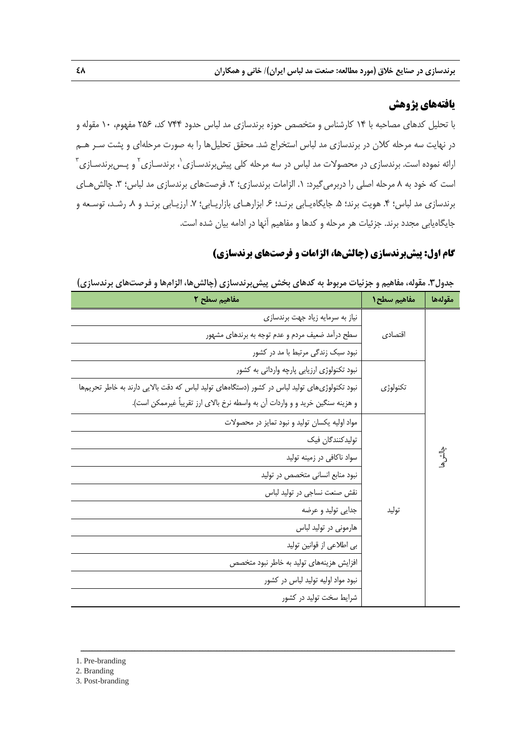# **يافتههاي پژوهش**

با تحليل كدهاي مصاحبه با 14 كارشناس و متخصص حوزه برندسازي مد لباس حدود 744 كد، 256 مفهوم، 10 مقوله و در نهايت سه مرحله كلان در برندسازي مد لباس استخراج شد. محقق تحليلها را به صورت مرحلهاي و پشت سـر هـم ْرائه نموده است. برندسازی در محصولات مد لباس در سه مرحله کلی پیش برندسـازی <sup>۱</sup>، برندسـازی ۲ و پـس برندسـازی ۳ است كه خود به ۸ مرحله اصلي را دربرمي گيرد: ۱. الزامات برندسازي؛ ۲. فرصتهاي برندسازي مد لباس؛ ۳. چالشهـاي برندسازي مد لباس؛ ۴. هويت برند؛ ۵. جايگاهيـابي برنـد؛ ۶. ابزارهـاي بازاريـابي؛ ۷. ارزيـابي برنـد و ۸. رشـد، توسـعه و جايگاهيابي مجدد برند. جزئيات هر مرحله و كدها و مفاهيم آنها در ادامه بيان شده است.

## **گام اول: پيشبرندسازي (چالشها، الزامات و فرصتهاي برندسازي)**

| مفاهيم سطح ٢                                                                                  | مفاهيم سطح ١ | مقولهها  |
|-----------------------------------------------------------------------------------------------|--------------|----------|
| نیاز به سرمایه زیاد جهت برندسازی                                                              |              |          |
| سطح درأمد ضعیف مردم و عدم توجه به برندهای مشهور                                               | اقتصادى      |          |
| نبود سبک زندگی مرتبط با مد در کشور                                                            |              |          |
| نبود تکنولوژی ارزیابی پارچه وارداتی به کشور                                                   |              |          |
| نبود تکنولوژیهای تولید لباس در کشور (دستگاههای تولید لباس که دقت بالایی دارند به خاطر تحریمها | تكنولوژى     |          |
| و هزينه سنگين خريد و و واردات آن به واسطه نرخ بالاي ارز تقريباً غيرممكن است).                 |              |          |
| مواد اولیه یکسان تولید و نبود تمایز در محصولات                                                |              |          |
| توليدكنندگان فيك                                                                              |              |          |
| سواد ناكافي در زمينه توليد                                                                    |              | ېدانش ها |
| نبود منابع انسانی متخصص در تولید                                                              |              |          |
| نقش صنعت نساجي در توليد لباس                                                                  |              |          |
| جدايي توليد و عرضه                                                                            | توليد        |          |
| هارمونی در تولید لباس                                                                         |              |          |
| بي اطلاعي از قوانين توليد                                                                     |              |          |
| افزایش هزینههای تولید به خاطر نبود متخصص                                                      |              |          |
| نبود مواد اولیه تولید لباس در کشور                                                            |              |          |
| شرایط سخت تولید در کشور                                                                       |              |          |

ــــــــــــــــــــــــــــــــــــــــــــــــــــــــــــــــــــــــــــــــــــــــــــــــــــــــــــــــــــــــــــــــــــ

**جدول.3 مقوله، مفاهيم و جزئيات مربوط به كدهاي بخش پيشبرندسازي (چالشها، الزامها و فرصتهاي برندسازي)** 

1. Pre-branding

2. Branding

3. Post-branding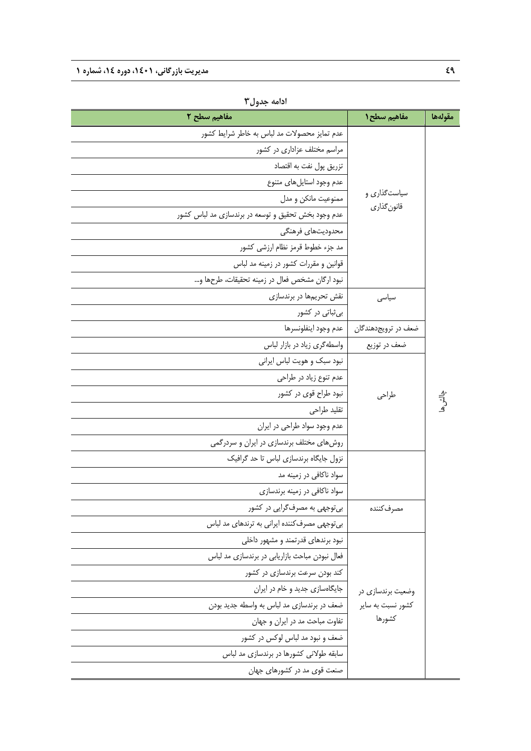| مفاهيم سطح ٢                                        | مفاهيم سطح ١                | مقولهها     |
|-----------------------------------------------------|-----------------------------|-------------|
| عدم تمایز محصولات مد لباس به خاطر شرایط کشور        |                             |             |
| مراسم مختلف عزاداری در کشور                         |                             |             |
| تزريق پول نفت به اقتصاد                             |                             |             |
| عدم وجود استايلهاى متنوع                            |                             |             |
| ممنوعيت مانكن و مدل                                 | سیاستگذاری و<br>قانون گذاري |             |
| عدم وجود بخش تحقیق و توسعه در برندسازی مد لباس کشور |                             |             |
| محدوديتهاى فرهنگى                                   |                             |             |
| مد جزء خطوط قرمز نظام ارزشي كشور                    |                             |             |
| قوانین و مقررات کشور در زمینه مد لباس               |                             |             |
| نبود ارگان مشخص فعال در زمينه تحقيقات، طرحها و      |                             |             |
| نقش تحریمها در برندسازی                             | سياسى                       |             |
| بی ثباتی در کشور                                    |                             |             |
| عدم وجود اينفلونسرها                                | ضعف در ترويجدهندگان         |             |
| واسطهگری زیاد در بازار لباس                         | ضعف در توزيع                |             |
| نبود سبک و هویت لباس ایرانی                         |                             |             |
| عدم تنوع زياد در طراحي                              |                             |             |
| نبود طراح قوی در کشور                               | طراحى                       |             |
| تقليد طراحي                                         |                             | ېدلننې<br>ه |
| عدم وجود سواد طراحی در ایران                        |                             |             |
| روشهای مختلف برندسازی در ایران و سردرگمی            |                             |             |
| نزول جایگاه برندسازی لباس تا حد گرافیک              |                             |             |
| سواد ناکافی در زمینه مد                             |                             |             |
| سواد ناکافی در زمینه برندسازی                       |                             |             |
| بی توجهی به مصرف گرایی در کشور                      | مصرف كننده                  |             |
| بی توجهی مصرف کننده ایرانی به ترندهای مد لباس       |                             |             |
| نبود برندهای قدرتمند و مشهور داخلی                  |                             |             |
| فعال نبودن مباحث بازاریابی در برندسازی مد لباس      |                             |             |
| کند بودن سرعت برندسازی در کشور                      |                             |             |
| جایگاهسازی جدید و خام در ایران                      | وضعیت برندسازی در           |             |
| ضعف در برندسازي مد لباس به واسطه جديد بودن          | کشور نسبت به سایر           |             |
| تفاوت مباحث مد در ایران و جهان                      | كشورها                      |             |
| ضعف و نبود مد لباس لوکس در کشور                     |                             |             |
| سابقه طولانی کشورها در برندسازی مد لباس             |                             |             |
| صنعت قوی مد در کشورهای جهان                         |                             |             |

**ادامه جدول3**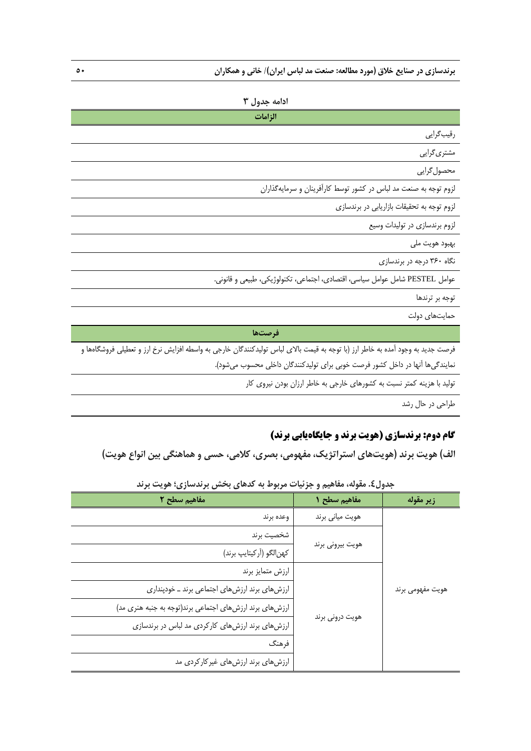## **ادامه جدول 3**

| الزامات                                                                      |
|------------------------------------------------------------------------------|
| رقيب گرايي                                                                   |
| مشتری گرایی                                                                  |
| محصول گرايي                                                                  |
| لزوم توجه به صنعت مد لباس در کشور توسط کارآفرینان و سرمایهگذاران             |
| لزوم توجه به تحقیقات بازاریابی در برندسازی                                   |
| لزوم برندسازی در تولیدات وسیع                                                |
| بهبود هويت ملي                                                               |
| نگاه ۳۶۰ درجه در برندسازی                                                    |
| عوامل PESTEL شامل عوامل سياسي، اقتصادي، اجتماعي، تكنولوژيكي، طبيعي و قانوني. |

توجه بر ترندها

حمايتهاي دولت

**فرصتها** 

فرصت جديد به وجود آمده به خاطر ارز (با توجه به قيمت بالاي لباس توليدكنندگان خارجي به واسطه افزايش نرخ ارز و تعطيلي فروشگاهها و نمايندگيها آنها در داخل كشور فرصت خوبي براي توليدكنندگان داخلي محسوب ميشود).

توليد با هزينه كمتر نسبت به كشورهاي خارجي به خاطر ارزان بودن نيروي كار

طراحي در حال رشد

# **گام دوم: برندسازي (هويت برند و جايگاهيابي برند)**

**الف) هويت برند (هويتهاي استراتژيك، مفهومي، بصري، كلامي، حسي و هماهنگي بين انواع هويت)** 

| مفاهيم سطح ٢                                            | مفاهيم سطح ١     | زير مقوله        |  |
|---------------------------------------------------------|------------------|------------------|--|
| وعده برند                                               | هويت مياني برند  |                  |  |
| شخصيت برند                                              |                  |                  |  |
| كهن الكو (أركيتايپ برند)                                | هويت بيروني برند |                  |  |
| ارزش متمايز برند                                        |                  | هويت مفهومي برند |  |
| ارزشهای برند ارزشهای اجتماعی برند ـ خودپنداری           |                  |                  |  |
| ارزشهای برند ارزشهای اجتماعی برند(توجه به جنبه هنری مد) |                  |                  |  |
| ارزشهای برند ارزشهای کارکردی مد لباس در برندسازی        | هويت دروني برند  |                  |  |
| فرهنگ                                                   |                  |                  |  |
| ارزشهای برند ارزشهای غیرکارکردی مد                      |                  |                  |  |

**جدول.4 مقوله، مفاهيم و جزئيات مربوط به كدهاي بخش برندسازي؛ هويت برند**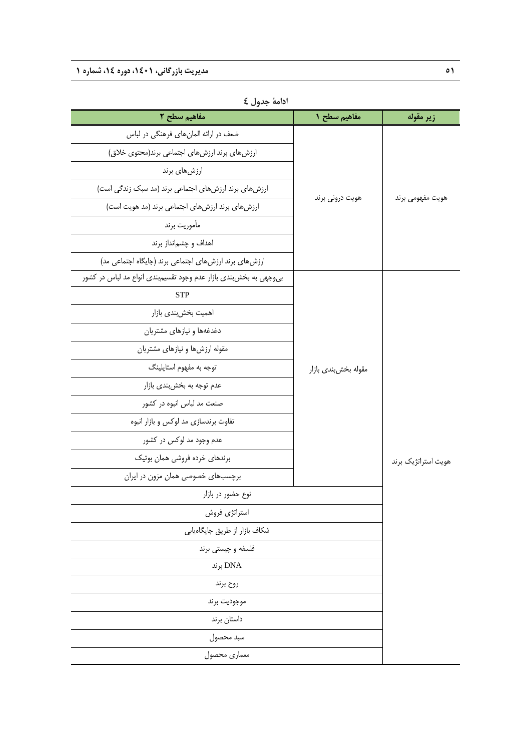| مفاهيم سطح ٢                                                        | مفاهيم سطح ١         | زير مقوله           |  |
|---------------------------------------------------------------------|----------------------|---------------------|--|
| ضعف در ارائه المانهای فرهنگی در لباس                                |                      |                     |  |
| ارزشهای برند ارزشهای اجتماعی برند(محتوی خلاق)                       |                      |                     |  |
| ارزشهای برند                                                        |                      |                     |  |
| ارزشهای برند ارزشهای اجتماعی برند (مد سبک زندگی است)                | هويت دروني برند      |                     |  |
| ارزشهای برند ارزشهای اجتماعی برند (مد هویت است)                     |                      | هويت مفهومي برند    |  |
| مأموريت برند                                                        |                      |                     |  |
| اهداف و چشم نداز برند                                               |                      |                     |  |
| ارزشهای برند ارزشهای اجتماعی برند (جایگاه اجتماعی مد)               |                      |                     |  |
| بی وجهی به بخش بندی بازار عدم وجود تقسیم بندی انواع مد لباس در کشور |                      |                     |  |
| <b>STP</b>                                                          |                      |                     |  |
| اهمیت بخش بندی بازار                                                |                      |                     |  |
| دغدغهها و نیازهای مشتریان                                           |                      | هویت استراتژیک برند |  |
| مقوله ارزشها و نیازهای مشتریان                                      |                      |                     |  |
| توجه به مفهوم استايلينگ                                             | مقوله بخش بندى بازار |                     |  |
| عدم توجه به بخشبندي بازار                                           |                      |                     |  |
| صنعت مد لباس انبوه در کشور                                          |                      |                     |  |
| تفاوت برندسازی مد لوکس و بازار انبوه                                |                      |                     |  |
| عدم وجود مد لوکس در کشور                                            |                      |                     |  |
| برندهای خرده فروشی همان بوتیک                                       |                      |                     |  |
| برچسبهای خصوصی همان مزون در ایران                                   |                      |                     |  |
| نوع حضور در بازار                                                   |                      |                     |  |
| استراتژي فروش                                                       |                      |                     |  |
| شكاف بازار از طريق جايگاهيابي                                       |                      |                     |  |
| فلسفه و چیستی برند                                                  |                      |                     |  |
| DNA برند                                                            |                      |                     |  |
| روح برند                                                            |                      |                     |  |
| موجوديت برند                                                        |                      |                     |  |
| داستان برند                                                         |                      |                     |  |
| سبد محصول                                                           |                      |                     |  |
| معمارى محصول                                                        |                      |                     |  |

**ادامة جدول 4**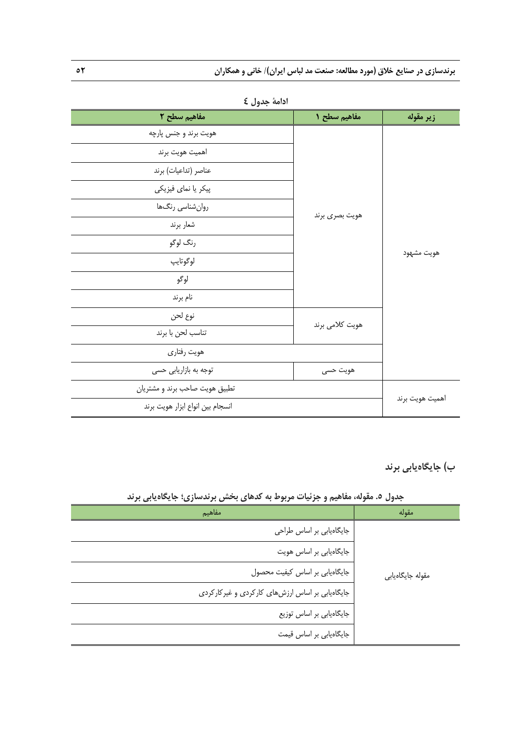| مفاهيم سطح ٢                     | مفاهيم سطح ١    | زير مقوله  |
|----------------------------------|-----------------|------------|
| هويت برند و جنس پارچه            |                 |            |
| اهميت هويت برند                  |                 |            |
| عناصر (تداعيات) برند             |                 |            |
| پیکر یا نمای فیزیکی              |                 | هويت مشهود |
| روان شناسي رنگها                 |                 |            |
| شعار برند                        | هويت بصرى برند  |            |
| رنگ لوگو                         |                 |            |
| لوگوتايپ                         |                 |            |
| لوگو                             |                 |            |
| نام برند                         |                 |            |
| نوع لحن                          | هويت كلامي برند |            |
| تناسب لحن با برند                |                 |            |
| هويت رفتاري                      |                 |            |
| توجه به بازاریابی حسی            | هويت حسى        |            |
| تطبیق هویت صاحب برند و مشتریان   |                 |            |
| انسجام بين انواع ابزار هويت برند | اهميت هويت برند |            |

**ادامة جدول 4** 

**ب) جايگاهيابي برند** 

**جدول .5 مقوله، مفاهيم و جزئيات مربوط به كدهاي بخش برندسازي؛ جايگاهيابي برند** 

| مفاهيم                                          | مقوله            |
|-------------------------------------------------|------------------|
| جایگاهیابی بر اساس طراحی                        |                  |
| جایگاهیابی بر اساس هویت                         |                  |
| جایگاهیابی بر اساس کیفیت محصول                  | مقوله جايگاهيابي |
| جایگاهیابی بر اساس ارزشهای کارکردی و غیرکارکردی |                  |
| جایگاهیابی بر اساس توزیع                        |                  |
| جایگاهیابی بر اساس قیمت                         |                  |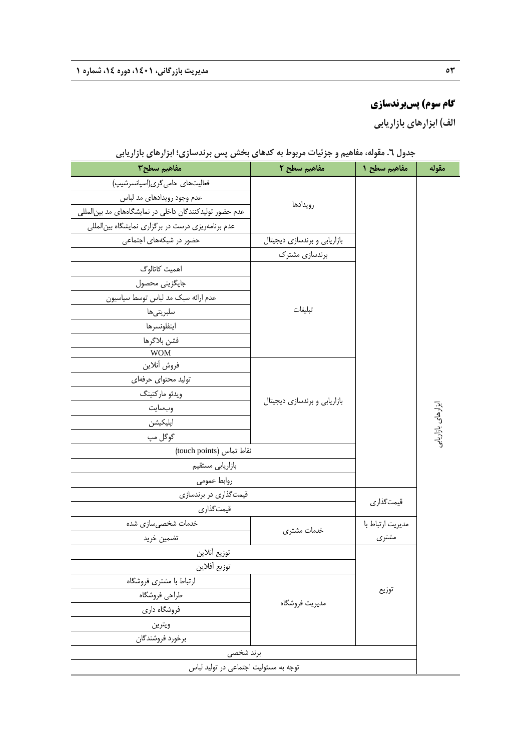# **گام سوم) پسبرندسازي**

**الف) ابزارهاي بازاريابي** 

| مفاهيم سطح٣                                              | مفاهیم سطح ۲                 | مفاهيم سطح ١     | مقوله              |
|----------------------------------------------------------|------------------------------|------------------|--------------------|
| فعالیتهای حامیگری(اسپانسرشیپ)                            |                              |                  |                    |
| عدم وجود رويدادهاى مد لباس                               | رويدادها                     |                  |                    |
| عدم حضور تولیدکنندگان داخلی در نمایشگاههای مد بین المللی |                              |                  |                    |
| عدم برنامهریزی درست در برگزاری نمایشگاه بینالمللی        |                              |                  |                    |
| حضور در شبکههای اجتماعی                                  | بازاریابی و برندسازی دیجیتال |                  |                    |
|                                                          | برندسازی مشترک               |                  |                    |
| اهمیت کاتالوگ                                            |                              |                  |                    |
| جايگزيني محصول                                           |                              |                  |                    |
| عدم ارائه سبک مد لباس توسط سیاسیون                       |                              |                  |                    |
| سلبريتىها                                                | تبليغات                      |                  |                    |
| اينفلونسرها                                              |                              |                  |                    |
| فشن بلاگرها                                              |                              |                  |                    |
| <b>WOM</b>                                               |                              |                  |                    |
| فروش أنلاين                                              |                              |                  |                    |
| تولید محتوای حرفهای                                      |                              |                  |                    |
| ويدئو ماركتينگ                                           | بازاریابی و برندسازی دیجیتال |                  |                    |
| وبسايت                                                   |                              |                  | ابزارهای بازاریابے |
| اپلیکیشن                                                 |                              |                  |                    |
| گوگل مپ                                                  |                              |                  |                    |
| نقاط تماس (touch points)                                 |                              |                  |                    |
| بازاريابي مستقيم                                         |                              |                  |                    |
| روابط عمومى                                              |                              |                  |                    |
| قیمتگذاری در برندسازی                                    |                              | قيمتگذاري        |                    |
| قيمتگذاري                                                |                              |                  |                    |
| خدمات شخصیٍسازی شده                                      | خدمات مشترى                  | مديريت ارتباط با |                    |
| تضمين خريد                                               |                              | مشترى            |                    |
| توزيع أنلاين                                             |                              |                  |                    |
| توزيع أفلاين                                             |                              |                  |                    |
| ارتباط با مشترى فروشگاه                                  |                              | توزيع            |                    |
| طراحي فروشگاه                                            | مديريت فروشگاه               |                  |                    |
| فروشگاه داری<br>ويترين                                   |                              |                  |                    |
|                                                          |                              |                  |                    |
| برخورد فروشندگان                                         |                              |                  |                    |
| برند شخصی                                                |                              |                  |                    |
| توجه به مسئولیت اجتماعی در تولید لباس                    |                              |                  |                    |

**جدول .6 مقوله، مفاهيم و جزئيات مربوط به كدهاي بخش پس برندسازي؛ ابزارهاي بازاريابي**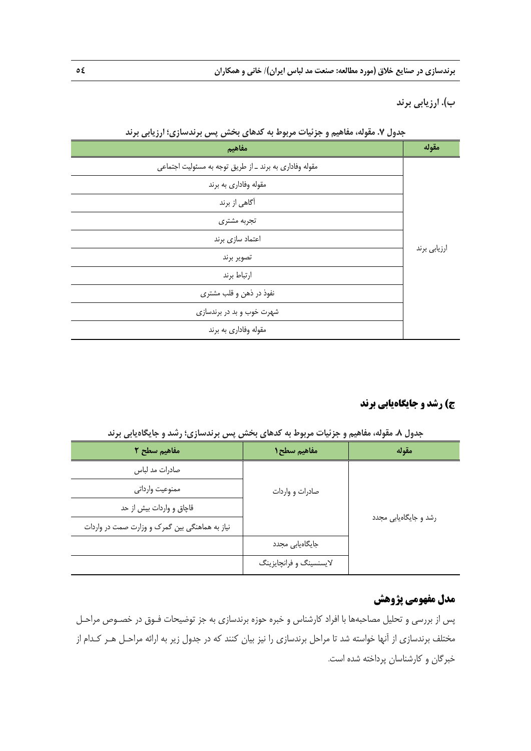**ب). ارزيابي برند** 

| <b></b><br>$\cdot$ $\bullet$<br>$\cdot$ $\cdot$ $\cdot$ $\cdot$<br>$+$ <i>1</i> $+$ <i>1</i> $+$ $+$<br>$\epsilon$<br>مفاهيم | مقوله        |
|------------------------------------------------------------------------------------------------------------------------------|--------------|
| مقوله وفاداری به برند ـ از طریق توجه به مسئولیت اجتماعی                                                                      |              |
| مقوله وفاداري به برند                                                                                                        |              |
| آگاهی از برند                                                                                                                |              |
| تجربه مشترى                                                                                                                  |              |
| اعتماد سازى برند                                                                                                             |              |
| تصوير برند                                                                                                                   | ارزيابي برند |
| ارتباط برند                                                                                                                  |              |
| نفوذ در ذهن و قلب مشترى                                                                                                      |              |
| شهرت خوب و بد در برندسازی                                                                                                    |              |
| مقوله وفاداري به برند                                                                                                        |              |

**جدول .7 مقوله، مفاهيم و جزئيات مربوط به كدهاي بخش پس برندسازي؛ ارزيابي برند** 

## **ج) رشد و جايگاهيابي برند**

**جدول .8 مقوله، مفاهيم و جزئيات مربوط به كدهاي بخش پس برندسازي؛ رشد و جايگاهيابي برند** 

| مفاهيم سطح ٢                                   | مفاهيم سطح 1            | مقوله                 |
|------------------------------------------------|-------------------------|-----------------------|
| صادرات مد لباس                                 |                         |                       |
| ممنوعيت وارداتي                                | صادرات و واردات         |                       |
| قاچاق و واردات بیش از حد                       |                         |                       |
| نیاز به هماهنگی بین گمرک و وزارت صمت در واردات |                         | رشد و جایگاهیابی مجدد |
|                                                | جایگاهیابی مجدد         |                       |
|                                                | لایسنسینگ و فرانچایزینگ |                       |

# **مدل مفهومي پژوهش**

پس از بررسي و تحليل مصاحبهها با افراد كارشناس و خبره حوزه برندسازي به جز توضيحات فـوق در خصـوص مراحـل مختلف برندسازي از آنها خواسته شد تا مراحل برندسازي را نيز بيان كنند كه در جدول زير به ارائه مراحـل هـر كـدام از خبرگان و كارشناسان پرداخته شده است.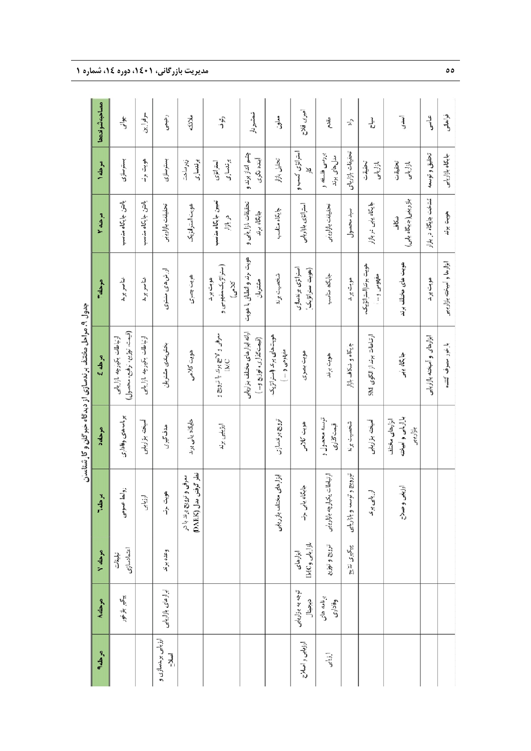|                                                        | مصاحبه شوندهما      | ينې<br>د                                                  | سرفرازين                   | رکنیمی                      | ملائكه                                             | رية.<br>و                                  | شمشيردار                                                | معاون                                     | امیری فلاح                            | مقدم                         | $\vec{a}$                  | ڐ                               | آپه                                               | ي<br>ول                     | و آه<br>آه                 |
|--------------------------------------------------------|---------------------|-----------------------------------------------------------|----------------------------|-----------------------------|----------------------------------------------------|--------------------------------------------|---------------------------------------------------------|-------------------------------------------|---------------------------------------|------------------------------|----------------------------|---------------------------------|---------------------------------------------------|-----------------------------|----------------------------|
|                                                        | مرحله ۱             | بسترسازى                                                  | هويت برند                  | بسترسازى                    | برندسازى<br>زيرساخت                                | برندسازى<br>استراتژی                       | چشم انداز برندو<br>أينده نگرى                           | تحليل بازار                               | استراتژی کسب و<br>⊼<br>⊲              | بررسى فلسفه و<br>مدل‰ی برند  | تحقيقات بازارياي           | تحقيقات<br>بازاريابى            | تحقيقات<br>بازاريابى                              | تحقيق و توسيه               | جايكاه بازارياس            |
|                                                        | مرحله ۲             | بالتن جايكاه مناسب                                        | بائتن جايكاه مناسب         | تحقيقات بازاريابي           | هويت استراتزيك                                     | تعيين جايگاه مناسب<br>در بازار             | تحقيقات بازاريايي و<br>جايگاه برند                      | جايگاه مناسب                              | استراتژی بازاریابی                    | تحقيقات بازاريابي            | سد محصول                   | جایگاه یابی در بازار            | بازاريابي(جايكاه يابي)<br>شكاف                    | شناخت جايكاد در بازار       | هويت برند                  |
|                                                        | موحله               | شأصو بوند                                                 | شاصر برند                  | ارزش های منتزی              | هويت بصرى                                          | (استراتزیک مفهومی و<br>هويت برند<br>كلامى) | هویت برند و انطاق با هویت<br>مشتربان                    | شحصيت برند                                | استراتژی یزندسازی<br>(هويت استراتزيک) | جايگاه مناسب                 | هويت برند                  | هويت برندالسراتژيک،<br>مفهومی و | هویت های مختلف برند                               | هويت برند                   | ابزارها و آمیخته بازاریابی |
| چندوں ، مر میں سنسلہ برمسروک از میں دھر حال و حار سندھ | سرحله کج            | (قيمت، نوزيع، ترفيع، محصول)<br>ارتباطات يكيارچه بازاريابى | ارتباطات يكيارچه بازاريامى | بخش بندى مشتريان            | هويت كلامى                                         | سرفی و لاسچ برند با نرویج و<br>IMC         | ارائه ابزارهای مختلف بلزاریاس<br>(قيمت گذاري، توزيع و ) | هويت هاى برند (آستر اتزيک،<br>مقهومی و  ) | هويت بصرى                             | هويت برند                    | جايكاه و شكاف بازار        | ارتباطات برند از الکوی SM       | جايگاه ينبى                                       | ابزارهای و آمیخته بازاریایی | بازخور مصرف كننده          |
|                                                        | موحله ٥             | برنامه های وفاداری                                        | أميخته بازاريابي           | هدف گیری                    | جايگاه يابى برند                                   | ارزيابى برند                               |                                                         | ترويج برندسازى                            | هويت كلامى                            | توىسمە محصول و<br>قيمت گذارى | شخصيت برند                 | أصيخته بازاريابى                | بازاريابى و أميخته<br>ابزارهای مختلف<br>بازاريابى |                             |                            |
|                                                        | مرحلدا              | روابط عمومى                                               | ارزيابى                    | هويت برتد                   | نظر گرفتن<br>معرفی و ترویج برند با در<br>سل (DARK) |                                            |                                                         | ابزارهاى مختلف بازاريابي                  | جابگاه يابي برند                      | ارتباطات يكيارچه بازاريابى   | تورويج و توسعه و بازاريايى | ادزيابى بزند                    | ارزيابي وصلاح                                     |                             |                            |
|                                                        | $y \triangleleft b$ | اعتمادسازى<br>تبليغات                                     |                            | وعده برند                   |                                                    |                                            |                                                         |                                           | بازاریاس وIMC<br>ابزارهای             | ترويج وتوزيع                 | پیگیری نتایج               |                                 |                                                   |                             |                            |
|                                                        | موحله               | پيگ بازخور                                                |                            | ابزارهای بازاریابی          |                                                    |                                            |                                                         |                                           | توجه به بازاریابی<br>ديجنال           | برنامه های<br>وفادارى        |                            |                                 |                                                   |                             |                            |
|                                                        | مرحله               |                                                           |                            | ارزیابی برندسازی و<br>اصلاح |                                                    |                                            |                                                         |                                           | ارزبابى و اصلاح                       | أرزياني                      |                            |                                 |                                                   |                             |                            |

حدول ۹. مراحل مختلف بر ندسازی از دیدگاه چپ گان و کا شناسان

#### **شماره 1 دوره ،14 55 مديريت بازرگاني، ،1401**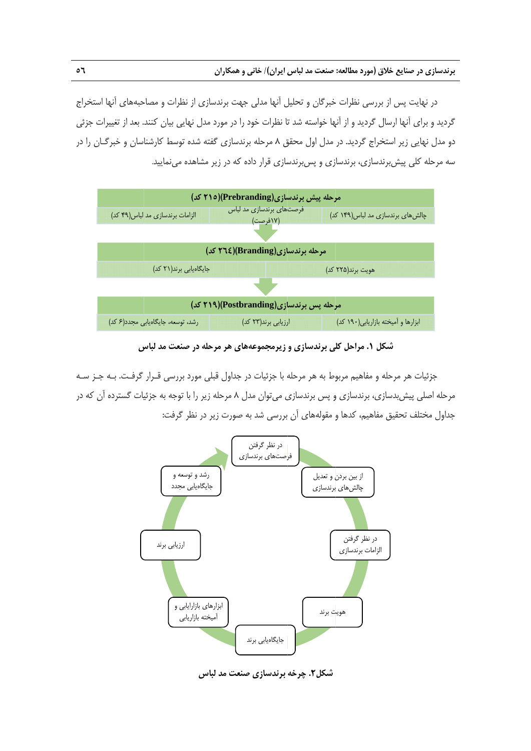در نهايت پس از بررسي نظرات خبرگان و تحليل آنها مدلي جهت برندسازي از نظرات و مصاحبههاي آنها استخراج گرديد و براي آنها ارسال گرديد و از آنها خواسته شد تا نظرات خود را در مورد مدل نهايي بيان كنند. بعد از تغييرات جزئي دو مدل نهايي زير استخراج گرديد. در مدل اول محقق ۸ مرحله برندسازي گفته شده توسط كارشناسان و خبرگــان را در سه مرحله کلی پیش برندسازی، برندسازی و پس برندسازی قرار داده که در زیر مشاهده مینمایید.



**س صنعت مد لباس ي هر مرحله در زيرمجموعههاي لي برندسازي و كل .1 مراحل كلي شك**

جزئيات هر مرحله و مفاهيم مربوط به هر مرحله با جزئيات در جداول قبلى مورد بررسى قـرار گرفـت. بــه جــز ســه مرحله اصلی پیش بدسازی، برندسازی و پس برندسازی میتوان مدل ۸ مرحله زیر را با توجه به جزئیات گسترده اَن که در جداول مختلف تحقيق مفاهيم، كدها و مقولههاى أن بررسى شد به صورت زير در نظر گرفت:



**عت مد لباس برندسازي صنع شكل.2 چرخه**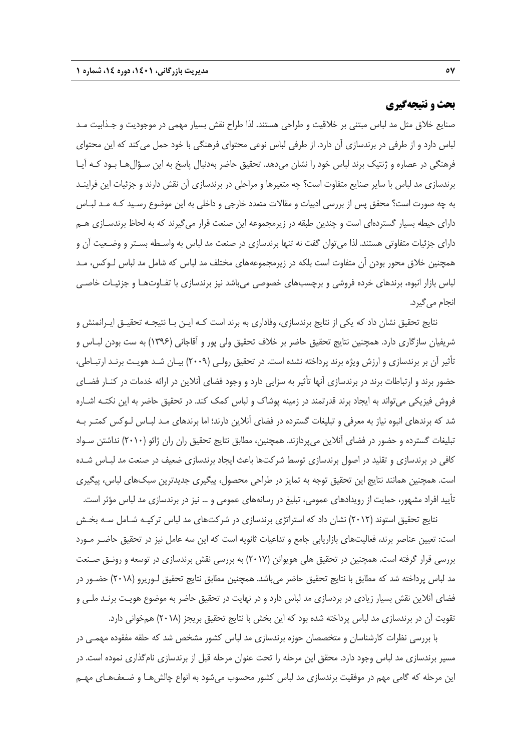## **بحث و نتيجهگيري**

صنايع خلاق مثل مد لباس مبتني بر خلاقيت و طراحي هستند. لذا طراح نقش بسيار مهمي در موجوديت و جـذابيت مـد لباس دارد و از طرفي در برندسازي آن دارد. از طرفي لباس نوعي محتواي فرهنگي با خود حمل ميكند كه اين محتواي فرهنگي در عصاره و ژنتيك برند لباس خود را نشان ميدهد. تحقيق حاضر بهدنبال پاسخ به اين سـؤالهـا بـود كـه آيـا برندسازي مد لباس با ساير صنايع متفاوت است؟ چه متغيرها و مراحلي در برندسازي آن نقش دارند و جزئيات اين فراينـد به چه صورت است؟ محقق پس از بررسي ادبيات و مقالات متعدد خارجي و داخلي به اين موضوع رسـيد كـه مـد لبـاس داراي حيطه بسيار گستردهاي است و چندين طبقه در زيرمجموعه اين صنعت قرار ميگيرند كه به لحاظ برندسـازي هـم داراي جزئيات متفاوتي هستند. لذا ميتوان گفت نه تنها برندسازي در صنعت مد لباس به واسـطه بسـتر و وضـعيت آن و همچنين خلاق محور بودن آن متفاوت است بلكه در زيرمجموعههاي مختلف مد لباس كه شامل مد لباس لـوكس، مـد لباس بازار انبوه، برندهاي خرده فروشي و برچسبهاي خصوصي ميباشد نيز برندسازي با تفـاوتهـا و جزئيـات خاصـي انجام ميگيرد.

نتايج تحقيق نشان داد كه يكي از نتايج برندسازي، وفاداري به برند است كـه ايـن بـا نتيجـه تحقيـق ايـرانمنش و شريفيان سازگاري دارد. همچنين نتايج تحقيق حاضر بر خلاف تحقيق ولي پور و آقاجاني (1396) به ست بودن لبـاس و تأثير آن بر برندسازي و ارزش ويژه برند پرداخته نشده است. در تحقيق رولـي (2009) بيـان شـد هويـت برنـد ارتبـاطي، حضور برند و ارتباطات برند در برندسازي آنها تأثير به سزايي دارد و وجود فضاي آنلاين در ارائه خدمات در كنـار فضـاي فروش فيزيكي ميتواند به ايجاد برند قدرتمند در زمينه پوشاك و لباس كمك كند. در تحقيق حاضر به اين نكتـه اشـاره شد كه برندهاي انبوه نياز به معرفي و تبليغات گسترده در فضاي آنلاين دارند؛ اما برندهاي مـد لبـاس لـوكس كمتـر بـه تبليغات گسترده و حضور در فضاي آنلاين ميپردازند. همچنين، مطابق نتايج تحقيق ران ران ژائو (2010) نداشتن سـواد كافي در برندسازي و تقليد در اصول برندسازي توسط شركتها باعث ايجاد برندسازي ضعيف در صنعت مد لبـاس شـده است. همچنين همانند نتايج اين تحقيق توجه به تمايز در طراحي محصول، پيگيري جديدترين سبكهاي لباس، پيگيري تأييد افراد مشهور، حمايت از رويدادهاي عمومي، تبليغ در رسانههاي عمومي و ... نيز در برندسازي مد لباس مؤثر است.

نتايج تحقيق استوند (2012) نشان داد كه استراتژي برندسازي در شركتهاي مد لباس تركيـه شـامل سـه بخـش است: تعيين عناصر برند، فعاليتهاي بازاريابي جامع و تداعيات ثانويه است كه اين سه عامل نيز در تحقيق حاضـر مـورد بررسي قرار گرفته است. همچنين در تحقيق هلي هويوانن (2017) به بررسي نقش برندسازي در توسعه و رونـق صـنعت مد لباس پرداخته شد كه مطابق با نتايج تحقيق حاضر ميباشد. همچنين مطابق نتايج تحقيق لـوريرو (2018) حضـور در فضاي آنلاين نقش بسيار زيادي در بردسازي مد لباس دارد و در نهايت در تحقيق حاضر به موضوع هويـت برنـد ملـي و تقويت آن در برندسازي مد لباس پرداخته شده بود كه اين بخش با نتايج تحقيق بريجز (2018) همخواني دارد.

با بررسي نظرات كارشناسان و متخصصان حوزه برندسازي مد لباس كشور مشخص شد كه حلقه مفقوده مهمـي در مسير برندسازي مد لباس وجود دارد. محقق اين مرحله را تحت عنوان مرحله قبل از برندسازي نامگذاري نموده است. در اين مرحله كه گامي مهم در موفقيت برندسازي مد لباس كشور محسوب ميشود به انواع چالشهـا و ضـعفهـاي مهـم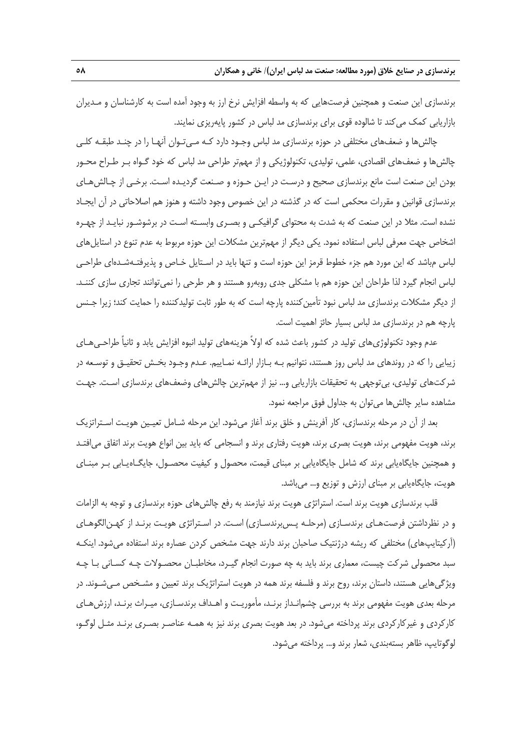برندسازي اين صنعت و همچنين فرصتهايي كه به واسطه افزايش نرخ ارز به وجود آمده است به كارشناسان و مـديران بازاريابي كمك ميكند تا شالوده قوي براي برندسازي مد لباس در كشور پايهريزي نمايند.

چالشها و ضعفهاي مختلفي در حوزه برندسازي مد لباس وجـود دارد كـه مـيتـوان آنهـا را در چنـد طبقـه كلـي چالشها و ضعفهاي اقصادي، علمي، توليدي، تكنولوژيكي و از مهمتر طراحي مد لباس كه خود گـواه بـر طـراح محـور بودن اين صنعت است مانع برندسازي صحيح و درسـت در ايـن حـوزه و صـنعت گرديـده اسـت. برخـي از چـالشهـاي برندسازي قوانين و مقررات محكمي است كه در گذشته در اين خصوص وجود داشته و هنوز هم اصلاحاتي در آن ايجـاد نشده است. مثلا در اين صنعت كه به شدت به محتواي گرافيكـي و بصـري وابسـته اسـت در برشوشـور نبايـد از چهـره اشخاص جهت معرفي لباس استفاده نمود. يكي ديگر از مهمترين مشكلات اين حوزه مربوط به عدم تنوع در استايلهاي لباس مباشد كه اين مورد هم جزء خطوط قرمز اين حوزه است و تنها بايد در اسـتايل خـاص و پذيرفتـهشـدهاي طراحـي لباس انجام گيرد لذا طراحان اين حوزه هم با مشكلي جدي روبهرو هستند و هر طرحي را نميتوانند تجاري سازي كننـد. از ديگر مشكلات برندسازي مد لباس نبود تأمين كننده پارچه است كه به طور ثابت توليدكننده را حمايت كند؛ زيرا جـنس پارچه هم در برندسازي مد لباس بسيار حائز اهميت است.

عدم وجود تكنولوژيهاي توليد در كشور باعث شده كه اولاً هزينههاي توليد انبوه افزايش يابد و ثانياً طراحـيهـاي زيبايي را كه در روندهاي مد لباس روز هستند، نتوانيم بـه بـازار ارائـه نمـاييم. عـدم وجـود بخـش تحقيـق و توسـعه در شركتهاي توليدي، بيتوجهي به تحقيقات بازاريابي و... نيز از مهمترين چالشهاي وضعفهاي برندسازي اسـت. جهـت مشاهده ساير چالشها ميتوان به جداول فوق مراجعه نمود.

بعد از آن در مرحله برندسازي، كار آفرينش و خلق برند آغاز ميشود. اين مرحله شـامل تعيـين هويـت اسـتراتزيك برند، هويت مفهومي برند، هويت بصري برند، هويت رفتاري برند و انسجامي كه بايد بين انواع هويت برند اتفاق ميافتـد و همچنين جايگاهيابي برند كه شامل جايگاهيابي بر مبناي قيمت، محصول و كيفيت محصـول، جايگـاهيـابي بـر مبنـاي هويت، جايگاهيابي بر مبناي ارزش و توزيع و... ميباشد.

قلب برندسازي هويت برند است. استراتژي هويت برند نيازمند به رفع چالشهاي حوزه برندسازي و توجه به الزامات و در نظرداشتن فرصتهـاي برندسـازي (مرحلـه پـسبرندسـازي) اسـت. در اسـتراتژي هويـت برنـد از كهـنالگوهـاي (آركيتايپهاي) مختلفي كه ريشه درژنتيك صاحبان برند دارند جهت مشخص كردن عصاره برند استفاده ميشود. اينكـه سبد محصولي شركت چيست، معماري برند بايد به چه صورت انجام گيـرد، مخاطبـان محصـولات چـه كسـاني بـا چـه ويژگيهايي هستند، داستان برند، روح برند و فلسفه برند همه در هويت استراتژيك برند تعيين و مشـخص مـيشـوند. در مرحله بعدي هويت مفهومي برند به بررسي چشمانـداز برنـد، مأموريـت و اهـداف برندسـازي، ميـراث برنـد، ارزشهـاي كاركردي و غيركاركردي برند پرداخته ميشود. در بعد هويت بصري برند نيز به همـه عناصـر بصـري برنـد مثـل لوگـو، لوگوتايپ، ظاهر بستهبندي، شعار برند و... پرداخته ميشود.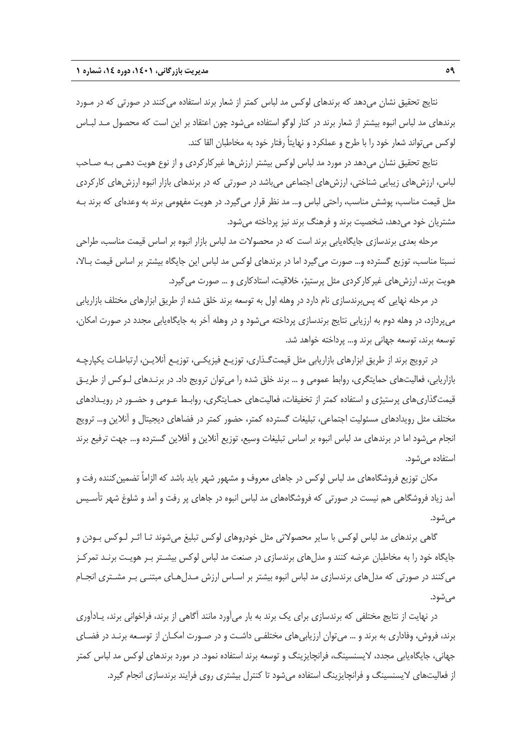نتايج تحقيق نشان ميدهد كه برندهاي لوكس مد لباس كمتر از شعار برند استفاده ميكنند در صورتي كه در مـورد برندهاي مد لباس انبوه بيشتر از شعار برند در كنار لوگو استفاده ميشود چون اعتقاد بر اين است كه محصول مـد لبـاس لوكس ميتواند شعار خود را با طرح و عملكرد و نهايتاً رفتار خود به مخاطبان القا كند.

نتايج تحقيق نشان ميدهد در مورد مد لباس لوكس بيشتر ارزشها غيركاركردي و از نوع هويت دهـي بـه صـاحب لباس، ارزشهاي زيبايي شناختي، ارزشهاي اجتماعي ميباشد در صورتي كه در برندهاي بازار انبوه ارزشهاي كاركردي مثل قيمت مناسب، پوشش مناسب، راحتي لباس و... مد نظر قرار ميگيرد. در هويت مفهومي برند به وعدهاي كه برند بـه مشتريان خود ميدهد، شخصيت برند و فرهنگ برند نيز پرداخته ميشود.

مرحله بعدي برندسازي جايگاهيابي برند است كه در محصولات مد لباس بازار انبوه بر اساس قيمت مناسب، طراحي نسبتا مناسب، توزيع گسترده و... صورت ميگيرد اما در برندهاي لوكس مد لباس اين جايگاه بيشتر بر اساس قيمت بـالا، هويت برند، ارزشهاي غيركاركردي مثل پرستيژ، خلاقيت، استادكاري و ... صورت ميگيرد.

در مرحله نهايي كه پسبرندسازي نام دارد در وهله اول به توسعه برند خلق شده از طريق ابزارهاي مختلف بازاريابي ميپردازد، در وهله دوم به ارزيابي نتايج برندسازي پرداخته ميشود و در وهله آخر به جايگاهيابي مجدد در صورت امكان، توسعه برند، توسعه جهاني برند و... پرداخته خواهد شد.

در ترويج برند از طريق ابزارهاي بازاريابي مثل قيمتگـذاري، توزيـع فيزيكـي، توزيـع آنلايـن، ارتباطـات يكپارچـه بازاريابي، فعاليتهاي حمايتگري، روابط عمومي و ... برند خلق شده را ميتوان ترويج داد. در برنـدهاي لـوكس از طريـق قيمتگذاريهاي پرستيژي و استفاده كمتر از تخفيفات، فعاليتهاي حمـايتگري، روابـط عـومي و حضـور در رويـدادهاي مختلف مثل رويدادهاي مسئوليت اجتماعي، تبليغات گسترده كمتر، حضور كمتر در فضاهاي ديجيتال و آنلاين و... ترويج انجام ميشود اما در برندهاي مد لباس انبوه بر اساس تبليغات وسيع، توزيع آنلاين و آفلاين گسترده و... جهت ترفيع برند استفاده ميشود.

مكان توزيع فروشگاههاي مد لباس لوكس در جاهاي معروف و مشهور شهر بايد باشد كه الزاماً تضمين كننده رفت و آمد زياد فروشگاهي هم نيست در صورتي كه فروشگاههاي مد لباس انبوه در جاهاي پر رفت و آمد و شلوغ شهر تأسـيس ميشود.

گاهي برندهاي مد لباس لوكس با ساير محصولاتي مثل خودروهاي لوكس تبليغ ميشوند تـا اثـر لـوكس بـودن و جايگاه خود را به مخاطبان عرضه كنند و مدلهاي برندسازي در صنعت مد لباس لوكس بيشـتر بـر هويـت برنـد تمركـز ميكنند در صورتي كه مدلهاي برندسازي مد لباس انبوه بيشتر بر اسـاس ارزش مـدلهـاي مبتنـي بـر مشـتري انجـام مے ,شود.

در نهايت از نتايج مختلفي كه برندسازي براي يك برند به بار ميآورد مانند آگاهي از برند، فراخواني برند، يـادآوري برند، فروش، وفاداري به برند و ... ميتوان ارزيابيهاي مختلفـي داشـت و در صـورت امكـان از توسـعه برنـد در فضـاي جهاني، جايگاهيابي مجدد، لايسنسينگ، فرانچايزينگ و توسعه برند استفاده نمود. در مورد برندهاي لوكس مد لباس كمتر از فعاليتهاي لايسنسينگ و فرانچايزينگ استفاده ميشود تا كنترل بيشتري روي فرايند برندسازي انجام گيرد.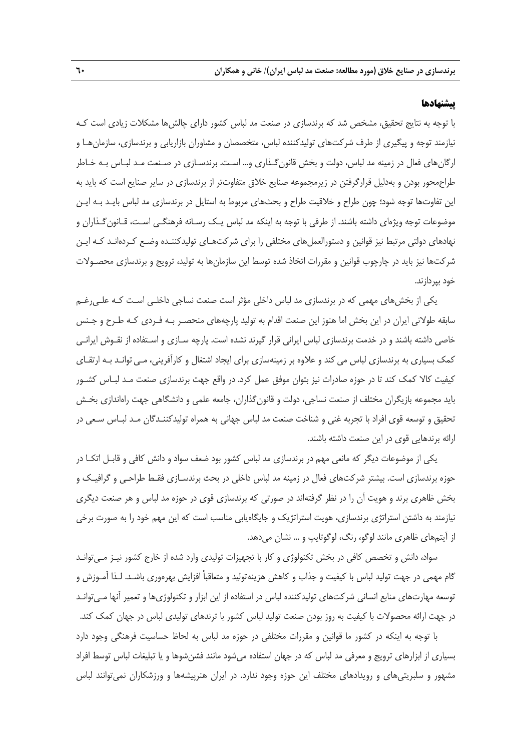#### **پيشنهادها**

با توجه به نتايج تحقيق، مشخص شد كه برندسازي در صنعت مد لباس كشور داراي چالشها مشكلات زيادي است كـه نيازمند توجه و پيگيري از طرف شركتهاي توليدكننده لباس، متخصصان و مشاوران بازاريابي و برندسازي، سازمانهـا و ارگانهاي فعال در زمينه مد لباس، دولت و بخش قانونگـذاري و... اسـت. برندسـازي در صـنعت مـد لبـاس بـه خـاطر طراحمحور بودن و بهدليل قرارگرفتن در زيرمجموعه صنايع خلاق متفاوتتر از برندسازي در ساير صنايع است كه بايد به اين تفاوتها توجه شود؛ چون طراح و خلاقيت طراح و بحثهاي مربوط به استايل در برندسازي مد لباس بايـد بـه ايـن موضوعات توجه ويژهاي داشته باشند. از طرفي با توجه به اينكه مد لباس يـك رسـانه فرهنگـي اسـت، قـانونگـذاران و نهادهاي دولتي مرتبط نيز قوانين و دستورالعمل هاي مختلفي را براي شركت عاي توليدكننـده وضـع كـردهانـد كـه ايـن شركتها نيز بايد در چارچوب قوانين و مقررات اتخاذ شده توسط اين سازمانها به توليد، ترويج و برندسازي محصـولات خود بپردازند.

يكي از بخشهاي مهمي كه در برندسازي مد لباس داخلي مؤثر است صنعت نساجي داخلـي اسـت كـه علـيرغـم سابقه طولاني ايران در اين بخش اما هنوز اين صنعت اقدام به توليد پارچههاي منحصـر بـه فـردي كـه طـرح و جـنس خاصي داشته باشند و در خدمت برندسازي لباس ايراني قرار گيرند نشده است. پارچه سـازي و اسـتفاده از نقـوش ايرانـي كمك بسياري به برندسازي لباس مي كند و علاوه بر زمينهسازي براي ايجاد اشتغال و كارآفريني، مـي توانـد بـه ارتقـاي كيفيت كالا كمك كند تا در حوزه صادرات نيز بتوان موفق عمل كرد. در واقع جهت برندسازي صنعت مـد لبـاس كشـور بايد مجموعه بازيگران مختلف از صنعت نساجي، دولت و قانونگذاران، جامعه علمي و دانشگاهي جهت راهاندازي بخـش تحقيق و توسعه قوي افراد با تجربه غني و شناخت صنعت مد لباس جهاني به همراه توليدكننـدگان مـد لبـاس سـعي در ارائه برندهايي قوي در اين صنعت داشته باشند.

يكي از موضوعات ديگر كه مانعي مهم در برندسازي مد لباس كشور بود ضعف سواد و دانش كافي و قابـل اتكـا در حوزه برندسازي است. بيشتر شركتهاي فعال در زمينه مد لباس داخلي در بحث برندسـازي فقـط طراحـي و گرافيـك و بخش ظاهري برند و هويت آن را در نظر گرفتهاند در صورتي كه برندسازي قوي در حوزه مد لباس و هر صنعت ديگري نيازمند به داشتن استراتژي برندسازي، هويت استراتژيك و جايگاهيابي مناسب است كه اين مهم خود را به صورت برخي از آيتمهاي ظاهري مانند لوگو، رنگ، لوگوتايپ و ... نشان مي دهد.

سواد، دانش و تخصص كافي در بخش تكنولوژي و كار با تجهيزات توليدي وارد شده از خارج كشور نيـز مـيتوانـد گام مهمي در جهت توليد لباس با كيفيت و جذاب و كاهش هزينهتوليد و متعاقباً افزايش بهره وري باشـد. لـذا آمـوزش و توسعه مهارتهاي منابع انساني شركتهاي توليدكننده لباس در استفاده از اين ابزار و تكنولوژيها و تعمير آنها مـيتوانـد در جهت ارائه محصولات با كيفيت به روز بودن صنعت توليد لباس كشور با ترندهاي توليدي لباس در جهان كمك كند.

با توجه به اينكه در كشور ما قوانين و مقررات مختلفي در حوزه مد لباس به لحاظ حساسيت فرهنگي وجود دارد بسياري از ابزارهاي ترويج و معرفي مد لباس كه در جهان استفاده ميشود مانند فشنشوها و يا تبليغات لباس توسط افراد مشهور و سلبريتيهاي و رويدادهاي مختلف اين حوزه وجود ندارد. در ايران هنرپيشهها و ورزشكاران نميتوانند لباس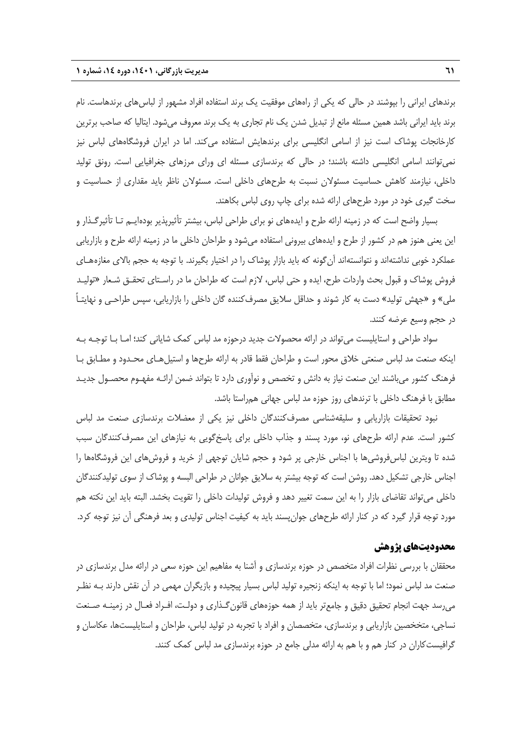برندهاي ايراني را بپوشند در حالي كه يكي از راههاي موفقيت يك برند استفاده افراد مشهور از لباسهاي برندهاست. نام برند بايد ايراني باشد همين مسئله مانع از تبديل شدن يك نام تجاري به يك برند معروف ميشود. ايتاليا كه صاحب برترين كارخانجات پوشاك است نيز از اسامي انگليسي براي برندهايش استفاده ميكند. اما در ايران فروشگاههاي لباس نيز نميتوانند اسامي انگليسي داشته باشند؛ در حالي كه برندسازي مسئله اي وراي مرزهاي جغرافيايي است. رونق توليد داخلي، نيازمند كاهش حساسيت مسئولان نسبت به طرحهاي داخلي است. مسئولان ناظر بايد مقداري از حساسيت و سخت گيري خود در مورد طرحهاي ارائه شده براي چاپ روي لباس بكاهند.

بسيار واضح است كه در زمينه ارائه طرح و ايدههاي نو براي طراحي لباس، بيشتر تأثيرپذير بودهايـم تـا تأثيرگـذار و اين يعني هنوز هم در كشور از طرح و ايدههاي بيروني استفاده ميشود و طراحان داخلي ما در زمينه ارائه طرح و بازاريابي عملكرد خوبي نداشتهاند و نتوانستهاند آنگونه كه بايد بازار پوشاك را در اختيار بگيرند. با توجه به حجم بالاي مغازههـاي فروش پوشاك و قبول بحث واردات طرح، ايده و حتي لباس، لازم است كه طراحان ما در راسـتاي تحقـق شـعار «توليـد ملي» و «جهش توليد» دست به كار شوند و حداقل سلايق مصرفكننده گان داخلي را بازاريابي، سپس طراحـي و نهايتـاً در حجم وسيع عرضه كنند.

سواد طراحي و استايليست ميتواند در ارائه محصولات جديد درحوزه مد لباس كمك شاياني كند؛ امـا بـا توجـه بـه اينكه صنعت مد لباس صنعتي خلاق محور است و طراحان فقط قادر به ارائه طرحها و استيلهـاي محـدود و مطـابق بـا فرهنگ كشور ميباشند اين صنعت نياز به دانش و تخصص و نوآوري دارد تا بتواند ضمن ارائـه مفهـوم محصـول جديـد مطابق با فرهنگ داخلي با ترندهاي روز حوزه مد لباس جهاني همراستا باشد.

نبود تحقيقات بازاريابي و سليقهشناسي مصرفكنندگان داخلي نيز يكي از معضلات برندسازي صنعت مد لباس كشور است. عدم ارائه طرحهاي نو، مورد پسند و جذاب داخلي براي پاسخگويي به نيازهاي اين مصرفكنندگان سبب شده تا ويترين لباسفروشيها با اجناس خارجي پر شود و حجم شايان توجهي از خريد و فروشهاي اين فروشگاهها را اجناس خارجي تشكيل دهد. روشن است كه توجه بيشتر به سلايق جوانان در طراحي البسه و پوشاك از سوي توليدكنندگان داخلي ميتواند تقاضاي بازار را به اين سمت تغيير دهد و فروش توليدات داخلي را تقويت بخشد. البته بايد اين نكته هم مورد توجه قرار گيرد كه در كنار ارائه طرحهاي جوانپسند بايد به كيفيت اجناس توليدي و بعد فرهنگي آن نيز توجه كرد.

### **محدوديتهاي پژوهش**

محققان با بررسي نظرات افراد متخصص در حوزه برندسازي و آشنا به مفاهيم اين حوزه سعي در ارائه مدل برندسازي در صنعت مد لباس نمود؛ اما با توجه به اينكه زنجيره توليد لباس بسيار پيچيده و بازيگران مهمي در آن نقش دارند بـه نظـر ميرسد جهت انجام تحقيق دقيق و جامعتر بايد از همه حوزههاي قانونگـذاري و دولـت، افـراد فعـال در زمينـه صـنعت نساجي، متخخصين بازاريابي و برندسازي، متخصصان و افراد با تجربه در توليد لباس، طراحان و استايليستها، عكاسان و گرافيستكاران در كنار هم و با هم به ارائه مدلي جامع در حوزه برندسازي مد لباس كمك كنند.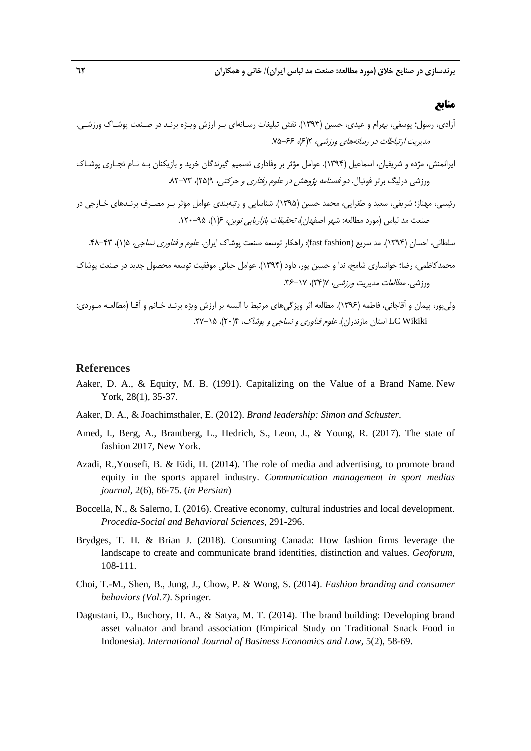#### **منابع**

آزادي، رسول؛ يوسفي، بهرام و عيدي، حسين (1393). نقش تبليغات رسـانهاي بـر ارزش ويـژه برنـد در صـنعت پوشـاك ورزشـي. مديريت ارتباطات در رسانههاي ورزشي، 2(6)، .75-66

- ايرانمنش، مژده و شريفيان، اسماعيل (1394). عوامل مؤثر بر وفاداري تصميم گيرندگان خريد و بازيكنان بـه نـام تجـاري پوشـاك ورزشي درليگ برتر فوتبال. *دو فصنامه پژوهش در علوم رفتاري و حركتي، ۹*(۲۵)، ۷۳-۸۲.
- رئيسي، مهناز؛ شريفي، سعيد و طغرايي، محمد حسين (1395). شناسايي و رتبهبندي عوامل مؤثر بـر مصـرف برنـدهاي خـارجي در صنعت مد لباس (مورد مطالعه: شهر اصفهان)، *تحقيقات بازاريابي نوين،* ۶(۱)، ۹۵–۱۲۰.

سلطاني، احسان (1394). مد سريع (fashion fast(: راهكار توسعه صنعت پوشاك ايران. علوم <sup>و</sup> فناوري نساجي، 5(1)، .48-43

- محمدكاظمي، رضا؛ خوانساري شامخ، ندا و حسين پور، داود (1394). عوامل حياتي موفقيت توسعه محصول جديد در صنعت پوشاك ورزشي. *مطالعات مديريت ورزشي، ٢*(٣۴)، ٦٧-٢۶.
- وليپور، پيمان و آقاجاني، فاطمه (1396). مطالعه اثر ويژگيهاي مرتبط با البسه بر ارزش ويژه برنـد خـانم و آقـا (مطالعـه مـوردي: LC Wikiki استان مازندران). *علوم فناوري و نساجي و پوشاک*، ۲۰/۴، ۲۵-۲۲.

#### **References**

- Aaker, D. A., & Equity, M. B. (1991). Capitalizing on the Value of a Brand Name. New York, 28(1), 35-37.
- Aaker, D. A., & Joachimsthaler, E. (2012). *Brand leadership: Simon and Schuster*.
- Amed, I., Berg, A., Brantberg, L., Hedrich, S., Leon, J., & Young, R. (2017). The state of fashion 2017, New York.
- Azadi, R.,Yousefi, B. & Eidi, H. (2014). The role of media and advertising, to promote brand equity in the sports apparel industry. *Communication management in sport medias journal*, 2(6), 66-75. (*in Persian*)
- Boccella, N., & Salerno, I. (2016). Creative economy, cultural industries and local development. *Procedia-Social and Behavioral Sciences*, 291-296.
- Brydges, T. H. & Brian J. (2018). Consuming Canada: How fashion firms leverage the landscape to create and communicate brand identities, distinction and values. *Geoforum,* 108-111.
- Choi, T.-M., Shen, B., Jung, J., Chow, P. & Wong, S. (2014). *Fashion branding and consumer behaviors (Vol.7)*. Springer.
- Dagustani, D., Buchory, H. A., & Satya, M. T. (2014). The brand building: Developing brand asset valuator and brand association (Empirical Study on Traditional Snack Food in Indonesia). *International Journal of Business Economics and Law*, 5(2), 58-69.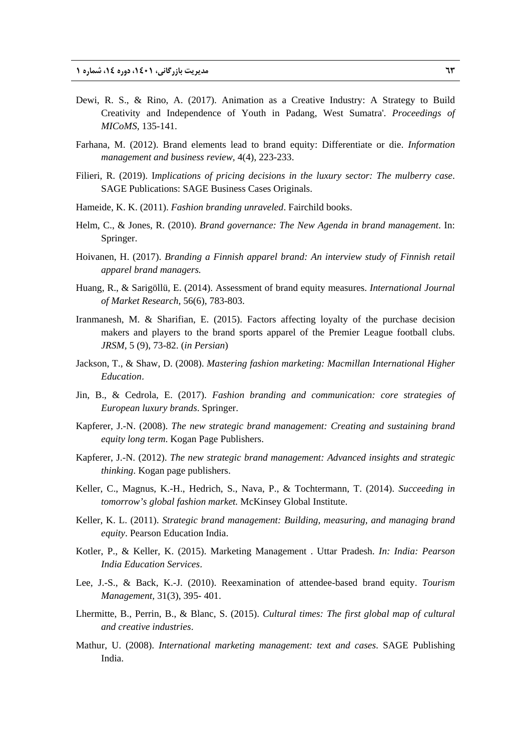- Dewi, R. S., & Rino, A. (2017). Animation as a Creative Industry: A Strategy to Build Creativity and Independence of Youth in Padang, West Sumatra'. *Proceedings of MICoMS,* 135-141.
- Farhana, M. (2012). Brand elements lead to brand equity: Differentiate or die. *Information management and business review,* 4(4), 223-233.
- Filieri, R. (2019). I*mplications of pricing decisions in the luxury sector: The mulberry case*. SAGE Publications: SAGE Business Cases Originals.
- Hameide, K. K. (2011). *Fashion branding unraveled*. Fairchild books.
- Helm, C., & Jones, R. (2010). *Brand governance: The New Agenda in brand management*. In: Springer.
- Hoivanen, H. (2017). *Branding a Finnish apparel brand: An interview study of Finnish retail apparel brand managers.*
- Huang, R., & Sarigöllü, E. (2014). Assessment of brand equity measures. *International Journal of Market Research,* 56(6), 783-803.
- Iranmanesh, M. & Sharifian, E. (2015). Factors affecting loyalty of the purchase decision makers and players to the brand sports apparel of the Premier League football clubs. *JRSM,* 5 (9), 73-82. (*in Persian*)
- Jackson, T., & Shaw, D. (2008). *Mastering fashion marketing: Macmillan International Higher Education*.
- Jin, B., & Cedrola, E. (2017). *Fashion branding and communication: core strategies of European luxury brands*. Springer.
- Kapferer, J.-N. (2008). *The new strategic brand management: Creating and sustaining brand equity long term*. Kogan Page Publishers.
- Kapferer, J.-N. (2012). *The new strategic brand management: Advanced insights and strategic thinking*. Kogan page publishers.
- Keller, C., Magnus, K.-H., Hedrich, S., Nava, P., & Tochtermann, T. (2014). *Succeeding in tomorrow's global fashion market.* McKinsey Global Institute.
- Keller, K. L. (2011). *Strategic brand management: Building, measuring, and managing brand equity*. Pearson Education India.
- Kotler, P., & Keller, K. (2015). Marketing Management . Uttar Pradesh. *In: India: Pearson India Education Services*.
- Lee, J.-S., & Back, K.-J. (2010). Reexamination of attendee-based brand equity. *Tourism Management,* 31(3), 395- 401.
- Lhermitte, B., Perrin, B., & Blanc, S. (2015). *Cultural times: The first global map of cultural and creative industries*.
- Mathur, U. (2008). *International marketing management: text and cases*. SAGE Publishing India.